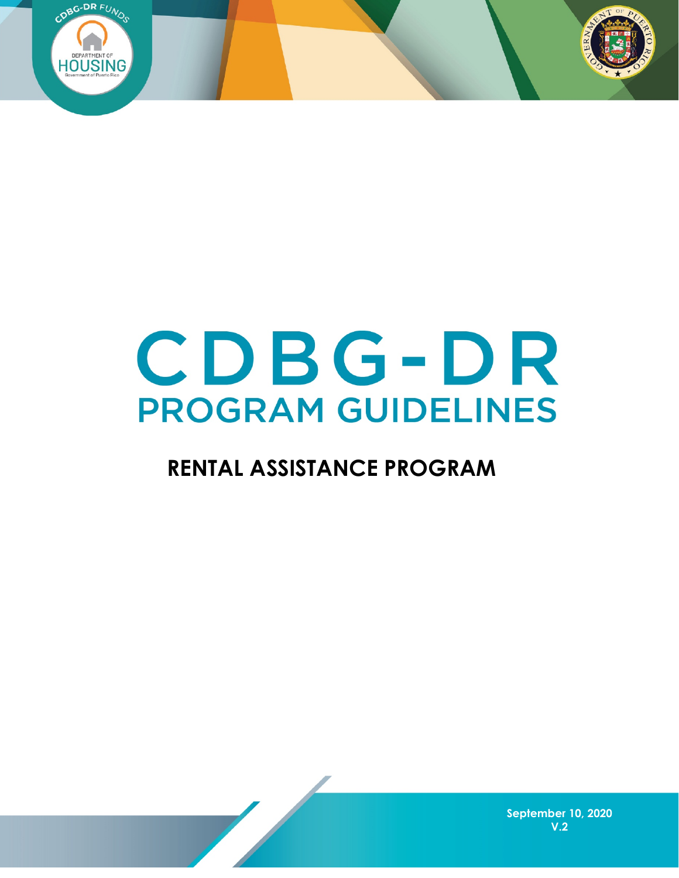



# **RENTAL ASSISTANCE PROGRAM**

**September 10, 2020 V.2**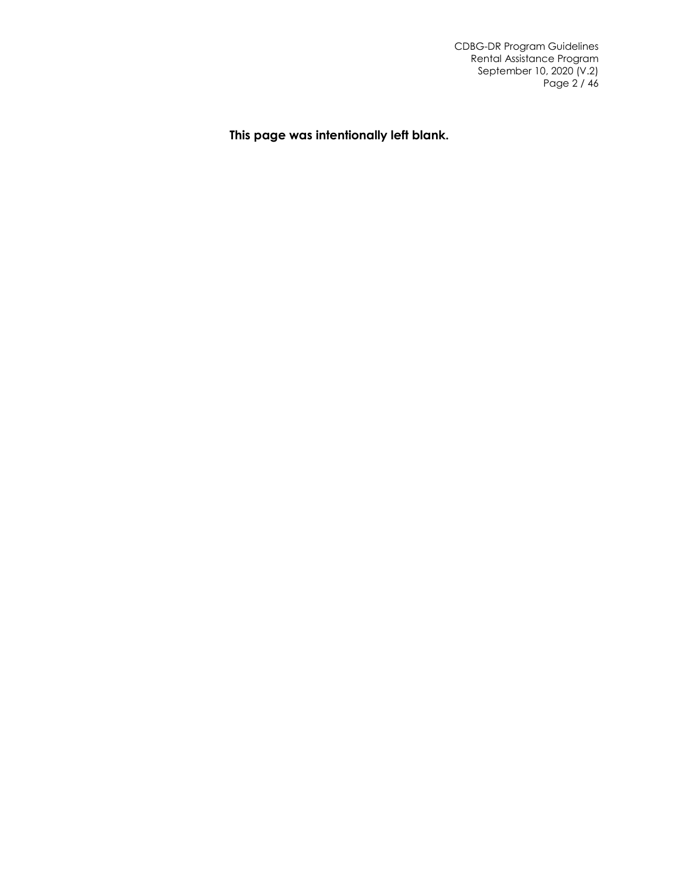CDBG-DR Program Guidelines Rental Assistance Program September 10, 2020 (V.2) Page 2 / 46

**This page was intentionally left blank.**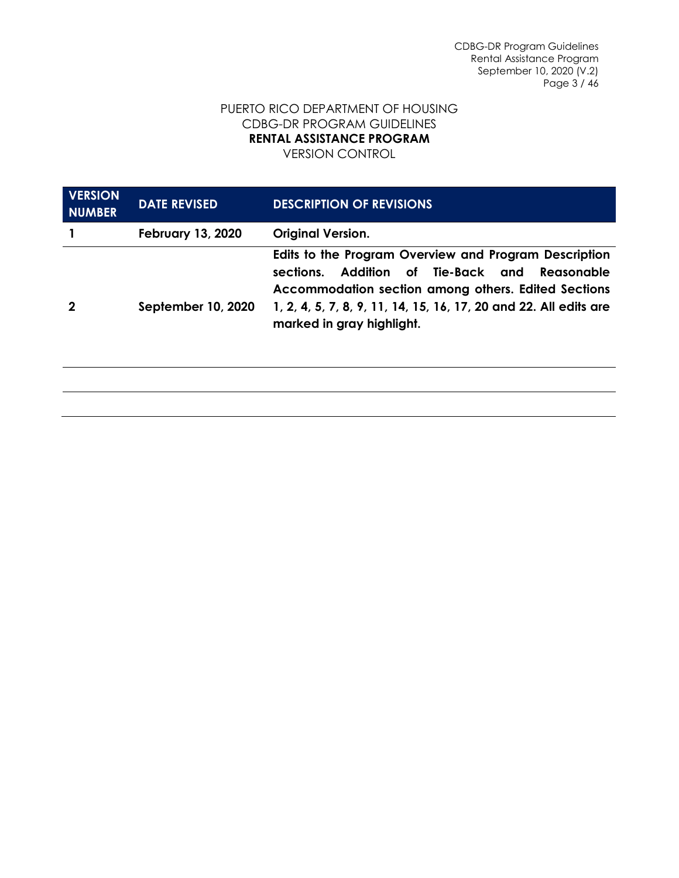CDBG-DR Program Guidelines Rental Assistance Program September 10, 2020 (V.2) Page 3 / 46

#### PUERTO RICO DEPARTMENT OF HOUSING CDBG-DR PROGRAM GUIDELINES **RENTAL ASSISTANCE PROGRAM** VERSION CONTROL

| <b>VERSION</b><br><b>NUMBER</b> | <b>DATE REVISED</b>      | <b>DESCRIPTION OF REVISIONS</b>                                                                                                                                                                                                                                    |
|---------------------------------|--------------------------|--------------------------------------------------------------------------------------------------------------------------------------------------------------------------------------------------------------------------------------------------------------------|
|                                 | <b>February 13, 2020</b> | <b>Original Version.</b>                                                                                                                                                                                                                                           |
| $\mathbf 2$                     | September 10, 2020       | Edits to the Program Overview and Program Description<br>Addition of Tie-Back and Reasonable<br>sections.<br>Accommodation section among others. Edited Sections<br>1, 2, 4, 5, 7, 8, 9, 11, 14, 15, 16, 17, 20 and 22. All edits are<br>marked in gray highlight. |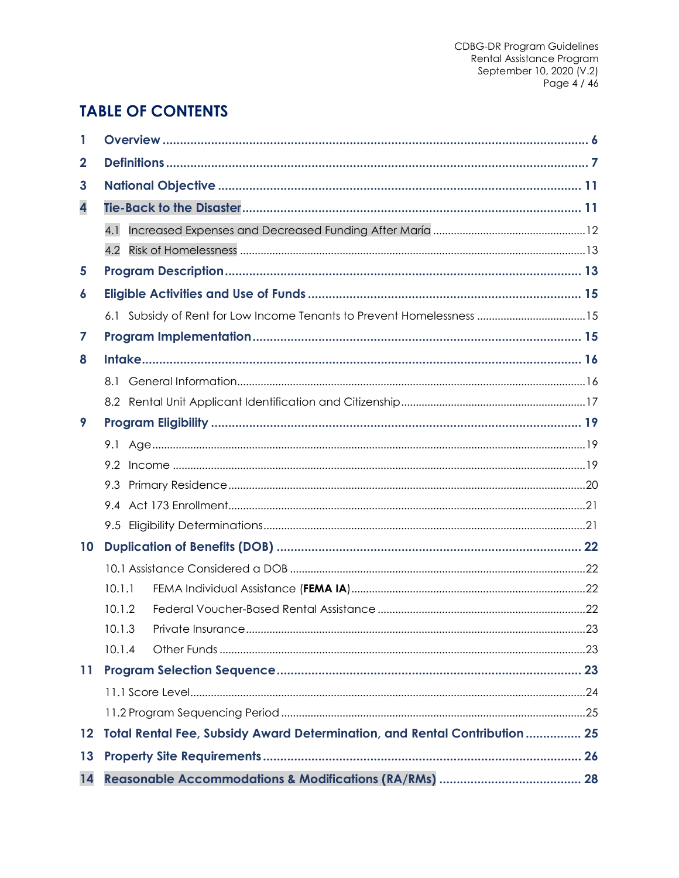# **TABLE OF CONTENTS**

| 1                |        |                                                                            |  |
|------------------|--------|----------------------------------------------------------------------------|--|
| $\mathbf{2}$     |        |                                                                            |  |
| 3                |        |                                                                            |  |
| 4                |        |                                                                            |  |
|                  | 4.1    |                                                                            |  |
|                  | 4.2    |                                                                            |  |
| 5                |        |                                                                            |  |
| $\boldsymbol{6}$ |        |                                                                            |  |
|                  |        |                                                                            |  |
| 7                |        |                                                                            |  |
| 8                |        |                                                                            |  |
|                  | 8.1    |                                                                            |  |
|                  |        |                                                                            |  |
| 9                |        |                                                                            |  |
|                  |        |                                                                            |  |
|                  | 9.2    |                                                                            |  |
|                  | 9.3    |                                                                            |  |
|                  |        |                                                                            |  |
|                  |        |                                                                            |  |
| 10               |        |                                                                            |  |
|                  |        |                                                                            |  |
|                  | 10.1.1 |                                                                            |  |
|                  | 10.1.2 |                                                                            |  |
|                  | 10.1.3 |                                                                            |  |
|                  | 10.1.4 |                                                                            |  |
| 11               |        |                                                                            |  |
|                  |        |                                                                            |  |
|                  |        |                                                                            |  |
| 12               |        | Total Rental Fee, Subsidy Award Determination, and Rental Contribution  25 |  |
| 13               |        |                                                                            |  |
| 14               |        |                                                                            |  |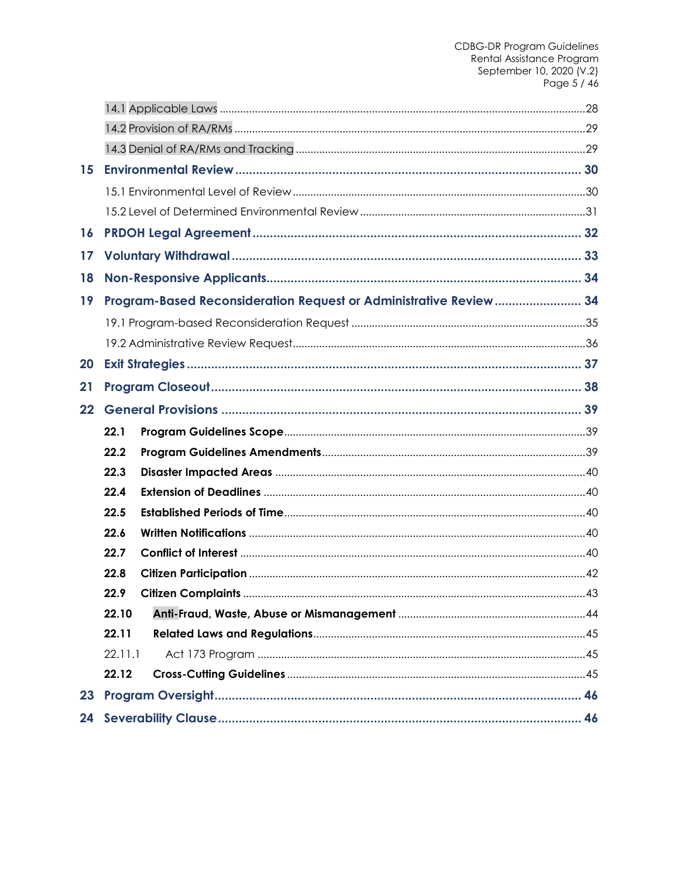| 15 |         |                                                                   |  |
|----|---------|-------------------------------------------------------------------|--|
|    |         |                                                                   |  |
|    |         |                                                                   |  |
| 16 |         |                                                                   |  |
| 17 |         |                                                                   |  |
| 18 |         |                                                                   |  |
| 19 |         | Program-Based Reconsideration Request or Administrative Review 34 |  |
|    |         |                                                                   |  |
|    |         |                                                                   |  |
| 20 |         |                                                                   |  |
| 21 |         |                                                                   |  |
| 22 |         |                                                                   |  |
|    | 22.1    |                                                                   |  |
|    | 22.2    |                                                                   |  |
|    | 22.3    |                                                                   |  |
|    | 22.4    |                                                                   |  |
|    | 22.5    |                                                                   |  |
|    | 22.6    |                                                                   |  |
|    | 22.7    |                                                                   |  |
|    | 22.8    |                                                                   |  |
|    | 22.9    | 43                                                                |  |
|    | 22.10   |                                                                   |  |
|    | 22.11   |                                                                   |  |
|    | 22.11.1 |                                                                   |  |
|    | 22.12   |                                                                   |  |
| 23 |         |                                                                   |  |
| 24 |         |                                                                   |  |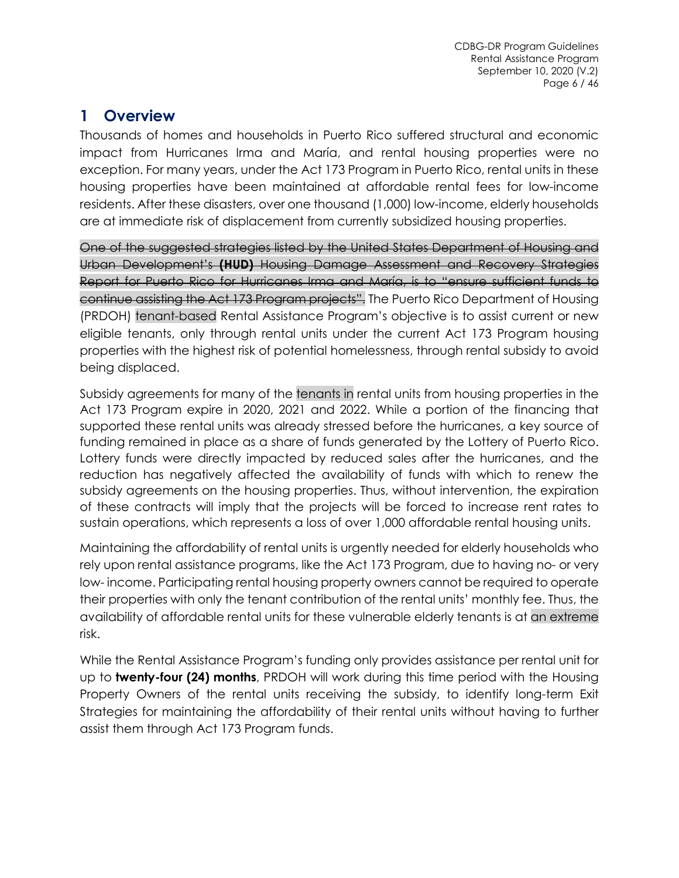## <span id="page-5-0"></span>**1 Overview**

Thousands of homes and households in Puerto Rico suffered structural and economic impact from Hurricanes Irma and María, and rental housing properties were no exception. For many years, under the Act 173 Program in Puerto Rico, rental units in these housing properties have been maintained at affordable rental fees for low-income residents. After these disasters, over one thousand (1,000) low-income, elderly households are at immediate risk of displacement from currently subsidized housing properties.

One of the suggested strategies listed by the United States Department of Housing and Urban Development's **(HUD)** Housing Damage Assessment and Recovery Strategies Report for Puerto Rico for Hurricanes Irma and María, is to "ensure sufficient funds to continue assisting the Act 173 Program projects". The Puerto Rico Department of Housing (PRDOH) tenant-based Rental Assistance Program's objective is to assist current or new eligible tenants, only through rental units under the current Act 173 Program housing properties with the highest risk of potential homelessness, through rental subsidy to avoid being displaced.

Subsidy agreements for many of the tenants in rental units from housing properties in the Act 173 Program expire in 2020, 2021 and 2022. While a portion of the financing that supported these rental units was already stressed before the hurricanes, a key source of funding remained in place as a share of funds generated by the Lottery of Puerto Rico. Lottery funds were directly impacted by reduced sales after the hurricanes, and the reduction has negatively affected the availability of funds with which to renew the subsidy agreements on the housing properties. Thus, without intervention, the expiration of these contracts will imply that the projects will be forced to increase rent rates to sustain operations, which represents a loss of over 1,000 affordable rental housing units.

Maintaining the affordability of rental units is urgently needed for elderly households who rely upon rental assistance programs, like the Act 173 Program, due to having no- or very low- income. Participating rental housing property owners cannot be required to operate their properties with only the tenant contribution of the rental units' monthly fee. Thus, the availability of affordable rental units for these vulnerable elderly tenants is at an extreme risk.

While the Rental Assistance Program's funding only provides assistance per rental unit for up to **twenty-four (24) months**, PRDOH will work during this time period with the Housing Property Owners of the rental units receiving the subsidy, to identify long-term Exit Strategies for maintaining the affordability of their rental units without having to further assist them through Act 173 Program funds.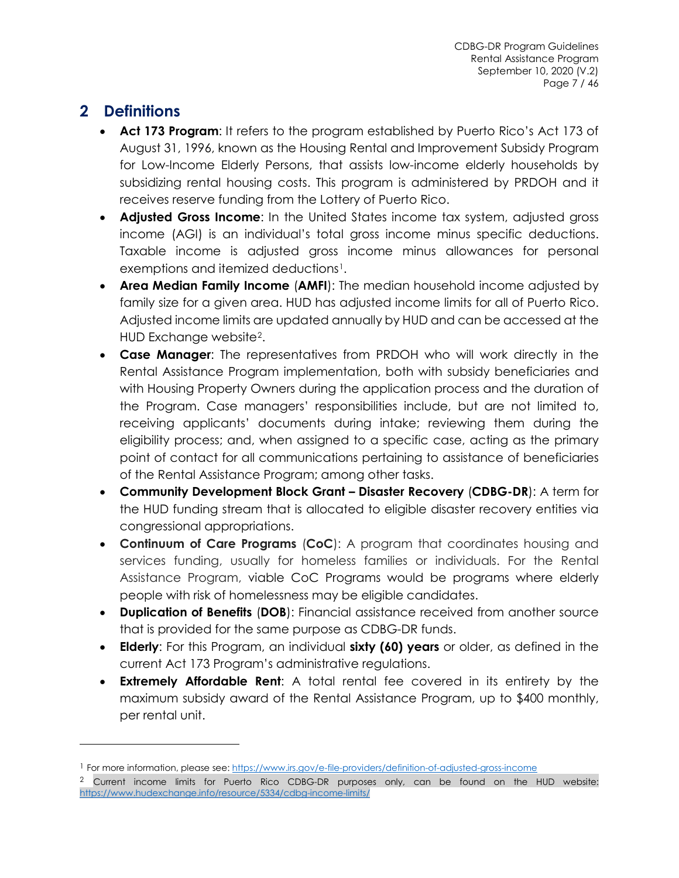# <span id="page-6-0"></span>**2 Definitions**

- **Act 173 Program**: It refers to the program established by Puerto Rico's Act 173 of August 31, 1996, known as the Housing Rental and Improvement Subsidy Program for Low-Income Elderly Persons, that assists low-income elderly households by subsidizing rental housing costs. This program is administered by PRDOH and it receives reserve funding from the Lottery of Puerto Rico.
- **Adjusted Gross Income**: In the United States income tax system, adjusted gross income (AGI) is an individual's total gross income minus specific deductions. Taxable income is adjusted gross income minus allowances for personal exemptions and itemized deductions<sup>1</sup>.
- **Area Median Family Income** (**AMFI**): The median household income adjusted by family size for a given area. HUD has adjusted income limits for all of Puerto Rico. Adjusted income limits are updated annually by HUD and can be accessed at the HUD Exchange website[2](#page-6-2).
- **Case Manager**: The representatives from PRDOH who will work directly in the Rental Assistance Program implementation, both with subsidy beneficiaries and with Housing Property Owners during the application process and the duration of the Program. Case managers' responsibilities include, but are not limited to, receiving applicants' documents during intake; reviewing them during the eligibility process; and, when assigned to a specific case, acting as the primary point of contact for all communications pertaining to assistance of beneficiaries of the Rental Assistance Program; among other tasks.
- **Community Development Block Grant – Disaster Recovery** (**CDBG-DR**): A term for the HUD funding stream that is allocated to eligible disaster recovery entities via congressional appropriations.
- **Continuum of Care Programs** (**CoC**): A program that coordinates housing and services funding, usually for homeless families or individuals. For the Rental Assistance Program, viable CoC Programs would be programs where elderly people with risk of homelessness may be eligible candidates.
- **Duplication of Benefits** (**DOB**): Financial assistance received from another source that is provided for the same purpose as CDBG-DR funds.
- **Elderly**: For this Program, an individual **sixty (60) years** or older, as defined in the current Act 173 Program's administrative regulations.
- **Extremely Affordable Rent**: A total rental fee covered in its entirety by the maximum subsidy award of the Rental Assistance Program, up to \$400 monthly, per rental unit.

<span id="page-6-1"></span><sup>&</sup>lt;sup>1</sup> For more information, please see[: https://www.irs.gov/e-file-providers/definition-of-adjusted-gross-income](https://www.irs.gov/e-file-providers/definition-of-adjusted-gross-income)

<span id="page-6-2"></span><sup>2</sup> Current income limits for Puerto Rico CDBG-DR purposes only, can be found on the HUD website: <https://www.hudexchange.info/resource/5334/cdbg-income-limits/>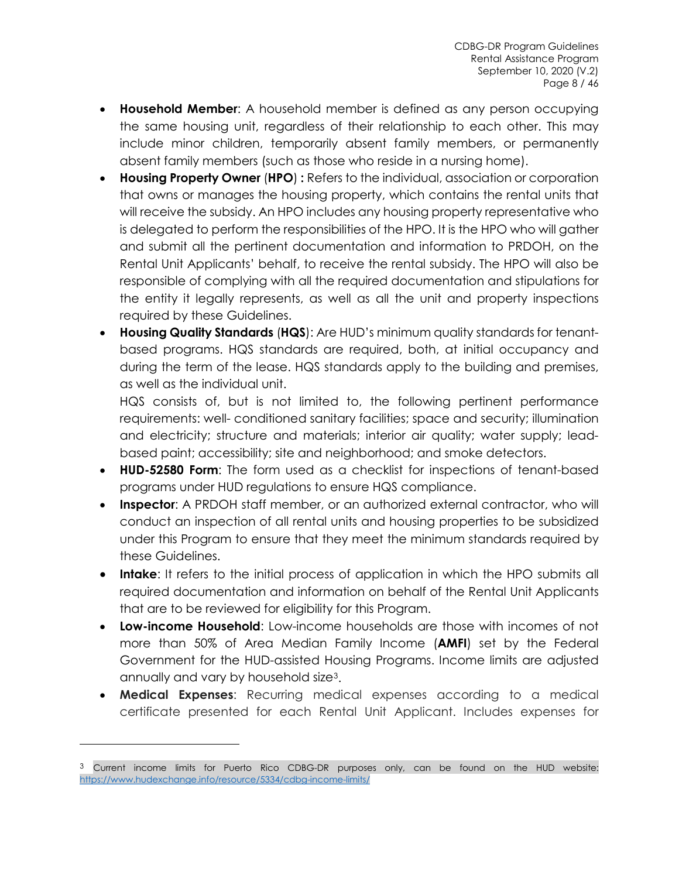- **Household Member**: A household member is defined as any person occupying the same housing unit, regardless of their relationship to each other. This may include minor children, temporarily absent family members, or permanently absent family members (such as those who reside in a nursing home).
- **Housing Property Owner** (**HPO**) **:** Refers to the individual, association or corporation that owns or manages the housing property, which contains the rental units that will receive the subsidy. An HPO includes any housing property representative who is delegated to perform the responsibilities of the HPO. It is the HPO who will gather and submit all the pertinent documentation and information to PRDOH, on the Rental Unit Applicants' behalf, to receive the rental subsidy. The HPO will also be responsible of complying with all the required documentation and stipulations for the entity it legally represents, as well as all the unit and property inspections required by these Guidelines.
- **Housing Quality Standards** (**HQS**): Are HUD's minimum quality standards for tenantbased programs. HQS standards are required, both, at initial occupancy and during the term of the lease. HQS standards apply to the building and premises, as well as the individual unit.

HQS consists of, but is not limited to, the following pertinent performance requirements: well- conditioned sanitary facilities; space and security; illumination and electricity; structure and materials; interior air quality; water supply; leadbased paint; accessibility; site and neighborhood; and smoke detectors.

- **HUD-52580 Form**: The form used as a checklist for inspections of tenant-based programs under HUD regulations to ensure HQS compliance.
- **Inspector**: A PRDOH staff member, or an authorized external contractor, who will conduct an inspection of all rental units and housing properties to be subsidized under this Program to ensure that they meet the minimum standards required by these Guidelines.
- **Intake:** It refers to the initial process of application in which the HPO submits all required documentation and information on behalf of the Rental Unit Applicants that are to be reviewed for eligibility for this Program.
- **Low-income Household**: Low-income households are those with incomes of not more than 50% of Area Median Family Income (**AMFI**) set by the Federal Government for the HUD-assisted Housing Programs. Income limits are adjusted annually and vary by household size[3.](#page-7-0)
- **Medical Expenses**: Recurring medical expenses according to a medical certificate presented for each Rental Unit Applicant. Includes expenses for

<span id="page-7-0"></span><sup>3</sup> Current income limits for Puerto Rico CDBG-DR purposes only, can be found on the HUD website: <https://www.hudexchange.info/resource/5334/cdbg-income-limits/>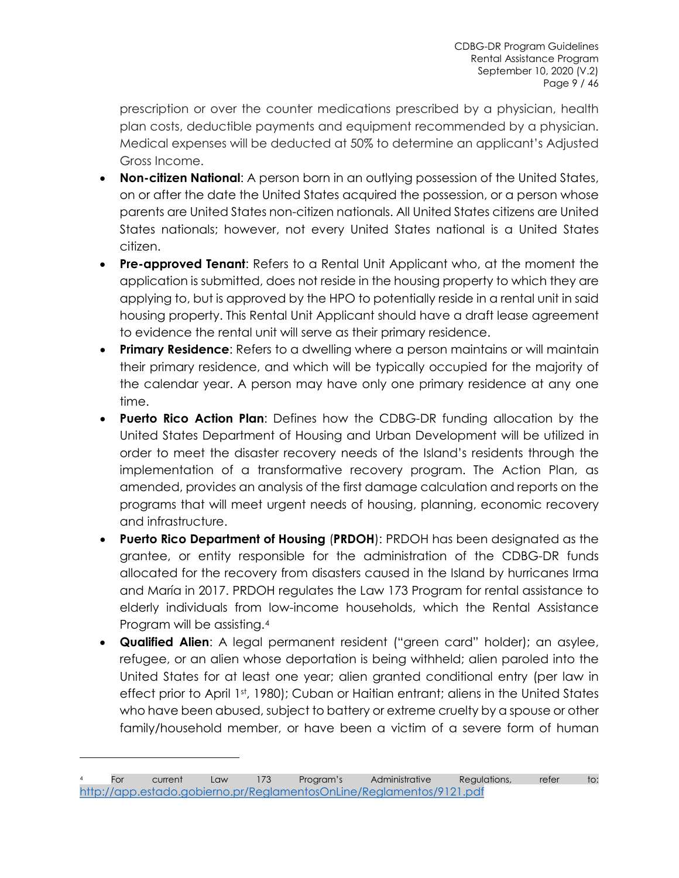prescription or over the counter medications prescribed by a physician, health plan costs, deductible payments and equipment recommended by a physician. Medical expenses will be deducted at 50% to determine an applicant's Adjusted Gross Income.

- **Non-citizen National**: A person born in an outlying possession of the United States, on or after the date the United States acquired the possession, or a person whose parents are United States non-citizen nationals. All United States citizens are United States nationals; however, not every United States national is a United States citizen.
- **Pre-approved Tenant**: Refers to a Rental Unit Applicant who, at the moment the application is submitted, does not reside in the housing property to which they are applying to, but is approved by the HPO to potentially reside in a rental unit in said housing property. This Rental Unit Applicant should have a draft lease agreement to evidence the rental unit will serve as their primary residence.
- **Primary Residence**: Refers to a dwelling where a person maintains or will maintain their primary residence, and which will be typically occupied for the majority of the calendar year. A person may have only one primary residence at any one time.
- **Puerto Rico Action Plan:** Defines how the CDBG-DR funding allocation by the United States Department of Housing and Urban Development will be utilized in order to meet the disaster recovery needs of the Island's residents through the implementation of a transformative recovery program. The Action Plan, as amended, provides an analysis of the first damage calculation and reports on the programs that will meet urgent needs of housing, planning, economic recovery and infrastructure.
- **Puerto Rico Department of Housing** (**PRDOH**): PRDOH has been designated as the grantee, or entity responsible for the administration of the CDBG-DR funds allocated for the recovery from disasters caused in the Island by hurricanes Irma and María in 2017. PRDOH regulates the Law 173 Program for rental assistance to elderly individuals from low-income households, which the Rental Assistance Program will be assisting.[4](#page-8-0)
- **Qualified Alien**: A legal permanent resident ("green card" holder); an asylee, refugee, or an alien whose deportation is being withheld; alien paroled into the United States for at least one year; alien granted conditional entry (per law in effect prior to April 1<sup>st</sup>, 1980); Cuban or Haitian entrant; aliens in the United States who have been abused, subject to battery or extreme cruelty by a spouse or other family/household member, or have been a victim of a severe form of human

<span id="page-8-0"></span><sup>4</sup> For current Law 173 Program's Administrative Regulations, refer to: <http://app.estado.gobierno.pr/ReglamentosOnLine/Reglamentos/9121.pdf>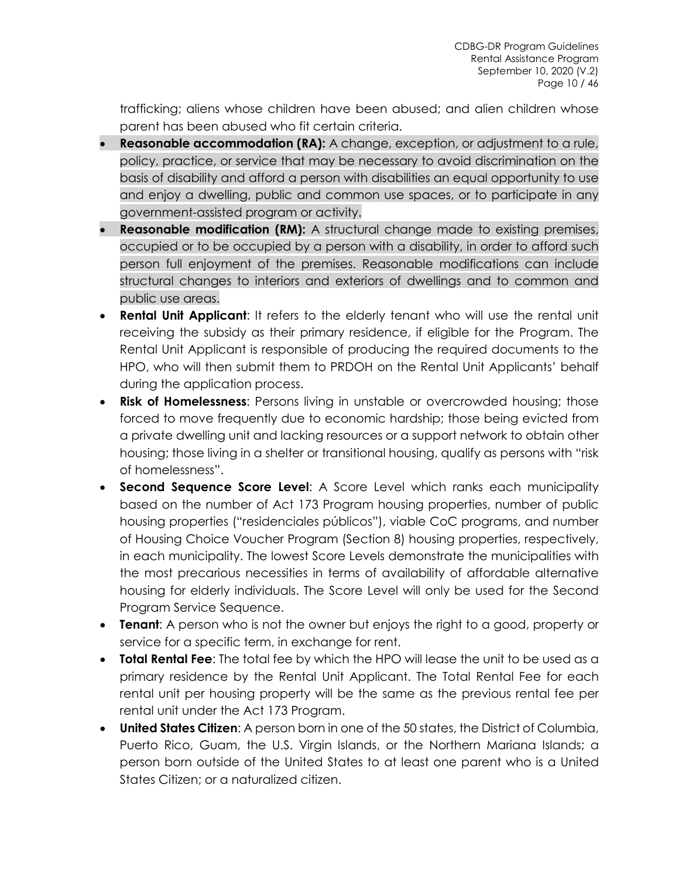trafficking; aliens whose children have been abused; and alien children whose parent has been abused who fit certain criteria.

- **Reasonable accommodation (RA):** A change, exception, or adjustment to a rule, policy, practice, or service that may be necessary to avoid discrimination on the basis of disability and afford a person with disabilities an equal opportunity to use and enjoy a dwelling, public and common use spaces, or to participate in any government-assisted program or activity.
- **Reasonable modification (RM):** A structural change made to existing premises, occupied or to be occupied by a person with a disability, in order to afford such person full enjoyment of the premises. Reasonable modifications can include structural changes to interiors and exteriors of dwellings and to common and public use areas.
- **Rental Unit Applicant:** It refers to the elderly tenant who will use the rental unit receiving the subsidy as their primary residence, if eligible for the Program. The Rental Unit Applicant is responsible of producing the required documents to the HPO, who will then submit them to PRDOH on the Rental Unit Applicants' behalf during the application process.
- **Risk of Homelessness**: Persons living in unstable or overcrowded housing; those forced to move frequently due to economic hardship; those being evicted from a private dwelling unit and lacking resources or a support network to obtain other housing; those living in a shelter or transitional housing, qualify as persons with "risk of homelessness".
- **Second Sequence Score Level**: A Score Level which ranks each municipality based on the number of Act 173 Program housing properties, number of public housing properties ("residenciales públicos"), viable CoC programs, and number of Housing Choice Voucher Program (Section 8) housing properties, respectively, in each municipality. The lowest Score Levels demonstrate the municipalities with the most precarious necessities in terms of availability of affordable alternative housing for elderly individuals. The Score Level will only be used for the Second Program Service Sequence.
- **Tenant**: A person who is not the owner but enjoys the right to a good, property or service for a specific term, in exchange for rent.
- **Total Rental Fee**: The total fee by which the HPO will lease the unit to be used as a primary residence by the Rental Unit Applicant. The Total Rental Fee for each rental unit per housing property will be the same as the previous rental fee per rental unit under the Act 173 Program.
- **United States Citizen**: A person born in one of the 50 states, the District of Columbia, Puerto Rico, Guam, the U.S. Virgin Islands, or the Northern Mariana Islands; a person born outside of the United States to at least one parent who is a United States Citizen; or a naturalized citizen.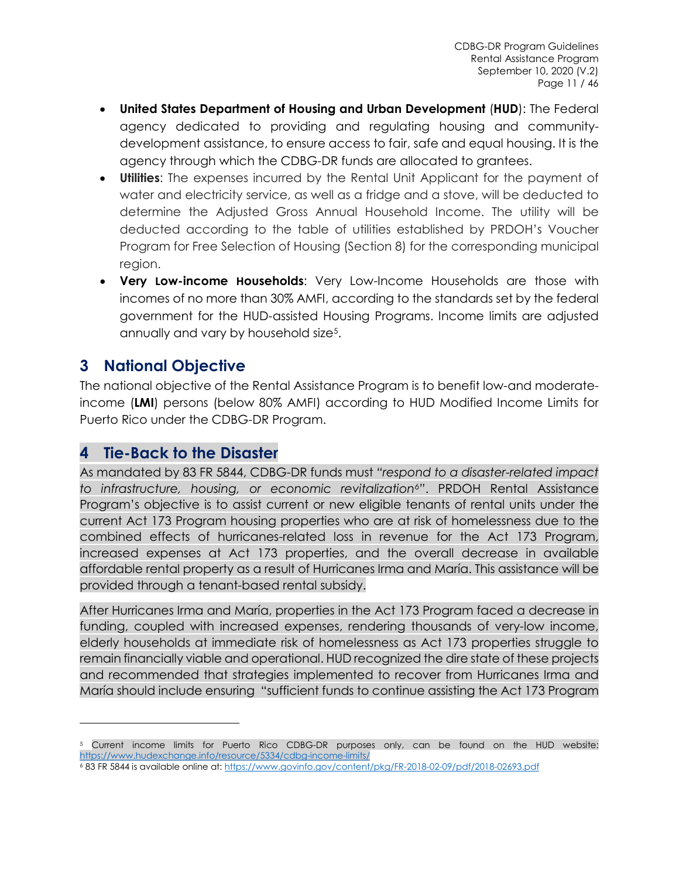- **United States Department of Housing and Urban Development** (**HUD**): The Federal agency dedicated to providing and regulating housing and communitydevelopment assistance, to ensure access to fair, safe and equal housing. It is the agency through which the CDBG-DR funds are allocated to grantees.
- **Utilities**: The expenses incurred by the Rental Unit Applicant for the payment of water and electricity service, as well as a fridge and a stove, will be deducted to determine the Adjusted Gross Annual Household Income. The utility will be deducted according to the table of utilities established by PRDOH's Voucher Program for Free Selection of Housing (Section 8) for the corresponding municipal region.
- **Very Low-income Households**: Very Low-Income Households are those with incomes of no more than 30% AMFI, according to the standards set by the federal government for the HUD-assisted Housing Programs. Income limits are adjusted annually and vary by household size[5.](#page-10-2)

# <span id="page-10-0"></span>**3 National Objective**

The national objective of the Rental Assistance Program is to benefit low-and moderateincome (**LMI**) persons (below 80% AMFI) according to HUD Modified Income Limits for Puerto Rico under the CDBG-DR Program.

### <span id="page-10-1"></span>**4 Tie-Back to the Disaster**

 $\overline{a}$ 

As mandated by 83 FR 5844, CDBG-DR funds must *"respond to a disaster-related impact to infrastructure, housing, or economic revitalizatio[n6](#page-10-3)"*. PRDOH Rental Assistance Program's objective is to assist current or new eligible tenants of rental units under the current Act 173 Program housing properties who are at risk of homelessness due to the combined effects of hurricanes-related loss in revenue for the Act 173 Program, increased expenses at Act 173 properties, and the overall decrease in available affordable rental property as a result of Hurricanes Irma and María. This assistance will be provided through a tenant-based rental subsidy.

After Hurricanes Irma and María, properties in the Act 173 Program faced a decrease in funding, coupled with increased expenses, rendering thousands of very-low income, elderly households at immediate risk of homelessness as Act 173 properties struggle to remain financially viable and operational. HUD recognized the dire state of these projects and recommended that strategies implemented to recover from Hurricanes Irma and María should include ensuring "sufficient funds to continue assisting the Act 173 Program

<span id="page-10-3"></span><sup>6</sup> 83 FR 5844 is available online at[: https://www.govinfo.gov/content/pkg/FR-2018-02-09/pdf/2018-02693.pdf](https://www.govinfo.gov/content/pkg/FR-2018-02-09/pdf/2018-02693.pdf)

<span id="page-10-2"></span><sup>5</sup> Current income limits for Puerto Rico CDBG-DR purposes only, can be found on the HUD website: <https://www.hudexchange.info/resource/5334/cdbg-income-limits/>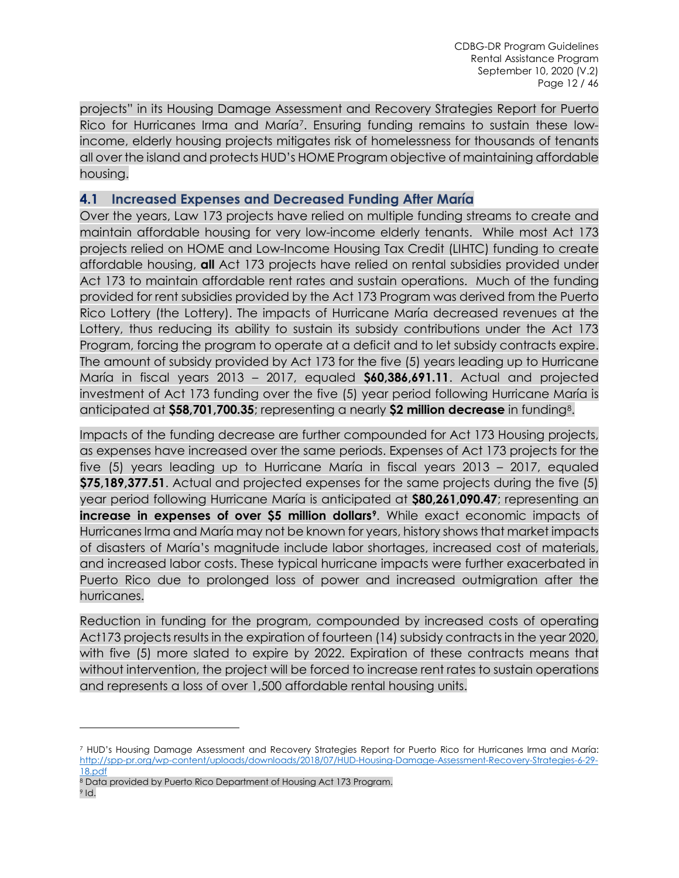projects" in its Housing Damage Assessment and Recovery Strategies Report for Puerto Rico for Hurricanes Irma and María[7.](#page-11-1) Ensuring funding remains to sustain these lowincome, elderly housing projects mitigates risk of homelessness for thousands of tenants all over the island and protects HUD's HOME Program objective of maintaining affordable housing.

#### <span id="page-11-0"></span>**4.1 Increased Expenses and Decreased Funding After María**

Over the years, Law 173 projects have relied on multiple funding streams to create and maintain affordable housing for very low-income elderly tenants. While most Act 173 projects relied on HOME and Low-Income Housing Tax Credit (LIHTC) funding to create affordable housing, **all** Act 173 projects have relied on rental subsidies provided under Act 173 to maintain affordable rent rates and sustain operations. Much of the funding provided for rent subsidies provided by the Act 173 Program was derived from the Puerto Rico Lottery (the Lottery). The impacts of Hurricane María decreased revenues at the Lottery, thus reducing its ability to sustain its subsidy contributions under the Act 173 Program, forcing the program to operate at a deficit and to let subsidy contracts expire. The amount of subsidy provided by Act 173 for the five (5) years leading up to Hurricane María in fiscal years 2013 – 2017, equaled **\$60,386,691.11**. Actual and projected investment of Act 173 funding over the five (5) year period following Hurricane María is anticipated at **\$58,701,700.35**; representing a nearly **\$2 million decrease** in funding[8.](#page-11-2)

Impacts of the funding decrease are further compounded for Act 173 Housing projects, as expenses have increased over the same periods. Expenses of Act 173 projects for the five (5) years leading up to Hurricane María in fiscal years 2013 – 2017, equaled **\$75,189,377.51**. Actual and projected expenses for the same projects during the five (5) year period following Hurricane María is anticipated at **\$80,261,090.47**; representing an **increase in expenses of over \$5 million dollars[9](#page-11-3)**. While exact economic impacts of Hurricanes Irma and María may not be known for years, history shows that market impacts of disasters of María's magnitude include labor shortages, increased cost of materials, and increased labor costs. These typical hurricane impacts were further exacerbated in Puerto Rico due to prolonged loss of power and increased outmigration after the hurricanes.

Reduction in funding for the program, compounded by increased costs of operating Act173 projects results in the expiration of fourteen (14) subsidy contracts in the year 2020, with five (5) more slated to expire by 2022. Expiration of these contracts means that without intervention, the project will be forced to increase rent rates to sustain operations and represents a loss of over 1,500 affordable rental housing units.

<span id="page-11-3"></span><span id="page-11-2"></span><sup>8</sup> Data provided by Puerto Rico Department of Housing Act 173 Program.  $9$  Id.

<span id="page-11-1"></span><sup>7</sup> HUD's Housing Damage Assessment and Recovery Strategies Report for Puerto Rico for Hurricanes Irma and María: [http://spp-pr.org/wp-content/uploads/downloads/2018/07/HUD-Housing-Damage-Assessment-Recovery-Strategies-6-29-](http://spp-pr.org/wp-content/uploads/downloads/2018/07/HUD-Housing-Damage-Assessment-Recovery-Strategies-6-29-18.pdf) [18.pdf](http://spp-pr.org/wp-content/uploads/downloads/2018/07/HUD-Housing-Damage-Assessment-Recovery-Strategies-6-29-18.pdf)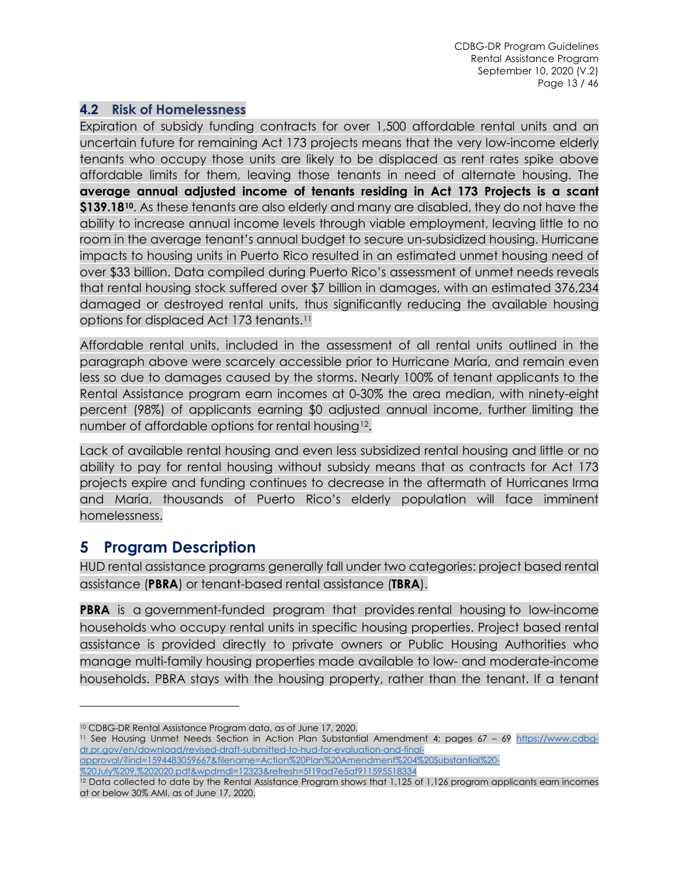#### <span id="page-12-0"></span>**4.2 Risk of Homelessness**

Expiration of subsidy funding contracts for over 1,500 affordable rental units and an uncertain future for remaining Act 173 projects means that the very low-income elderly tenants who occupy those units are likely to be displaced as rent rates spike above affordable limits for them, leaving those tenants in need of alternate housing. The **average annual adjusted income of tenants residing in Act 173 Projects is a scant \$139.18[10](#page-12-2)**. As these tenants are also elderly and many are disabled, they do not have the ability to increase annual income levels through viable employment, leaving little to no room in the average tenant's annual budget to secure un-subsidized housing. Hurricane impacts to housing units in Puerto Rico resulted in an estimated unmet housing need of over \$33 billion. Data compiled during Puerto Rico's assessment of unmet needs reveals that rental housing stock suffered over \$7 billion in damages, with an estimated 376,234 damaged or destroyed rental units, thus significantly reducing the available housing options for displaced Act 173 tenants.[11](#page-12-3)

Affordable rental units, included in the assessment of all rental units outlined in the paragraph above were scarcely accessible prior to Hurricane María, and remain even less so due to damages caused by the storms. Nearly 100% of tenant applicants to the Rental Assistance program earn incomes at 0-30% the area median, with ninety-eight percent (98%) of applicants earning \$0 adjusted annual income, further limiting the number of affordable options for rental housing<sup>[12](#page-12-4)</sup>.

Lack of available rental housing and even less subsidized rental housing and little or no ability to pay for rental housing without subsidy means that as contracts for Act 173 projects expire and funding continues to decrease in the aftermath of Hurricanes Irma and María, thousands of Puerto Rico's elderly population will face imminent homelessness.

# <span id="page-12-1"></span>**5 Program Description**

 $\overline{a}$ 

HUD rental assistance programs generally fall under two categories: project based rental assistance (**PBRA**) or tenant-based rental assistance (**TBRA**).

**PBRA** is a government-funded program that provides rental housing to low-income households who occupy rental units in specific housing properties. Project based rental assistance is provided directly to private owners or Public Housing Authorities who manage multi-family housing properties made available to low- and moderate-income households. PBRA stays with the housing property, rather than the tenant. If a tenant

<span id="page-12-2"></span><sup>10</sup> CDBG-DR Rental Assistance Program data, as of June 17, 2020.

<span id="page-12-3"></span><sup>&</sup>lt;sup>11</sup> See Housing Unmet Needs Section in Action Plan Substantial Amendment 4; pages 67 - 69 [https://www.cdbg](https://www.cdbg-dr.pr.gov/en/download/revised-draft-submitted-to-hud-for-evaluation-and-final-approval/?ind=1594483059667&filename=Action%20Plan%20Amendment%204%20Substantial%20-%20July%209,%202020.pdf&wpdmdl=12323&refresh=5f19ad7e5af911595518334)[dr.pr.gov/en/download/revised-draft-submitted-to-hud-for-evaluation-and-final-](https://www.cdbg-dr.pr.gov/en/download/revised-draft-submitted-to-hud-for-evaluation-and-final-approval/?ind=1594483059667&filename=Action%20Plan%20Amendment%204%20Substantial%20-%20July%209,%202020.pdf&wpdmdl=12323&refresh=5f19ad7e5af911595518334)

[approval/?ind=1594483059667&filename=Action%20Plan%20Amendment%204%20Substantial%20-](https://www.cdbg-dr.pr.gov/en/download/revised-draft-submitted-to-hud-for-evaluation-and-final-approval/?ind=1594483059667&filename=Action%20Plan%20Amendment%204%20Substantial%20-%20July%209,%202020.pdf&wpdmdl=12323&refresh=5f19ad7e5af911595518334) [%20July%209,%202020.pdf&wpdmdl=12323&refresh=5f19ad7e5af911595518334](https://www.cdbg-dr.pr.gov/en/download/revised-draft-submitted-to-hud-for-evaluation-and-final-approval/?ind=1594483059667&filename=Action%20Plan%20Amendment%204%20Substantial%20-%20July%209,%202020.pdf&wpdmdl=12323&refresh=5f19ad7e5af911595518334)

<span id="page-12-4"></span><sup>&</sup>lt;sup>12</sup> Data collected to date by the Rental Assistance Program shows that 1,125 of 1,126 program applicants earn incomes at or below 30% AMI, as of June 17, 2020.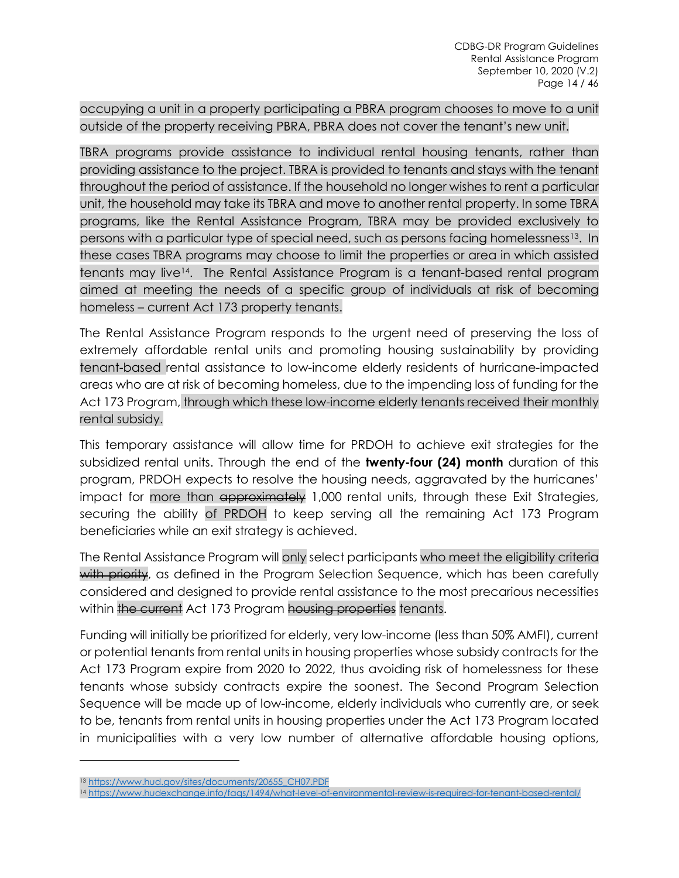occupying a unit in a property participating a PBRA program chooses to move to a unit outside of the property receiving PBRA, PBRA does not cover the tenant's new unit.

TBRA programs provide assistance to individual rental housing tenants, rather than providing assistance to the project. TBRA is provided to tenants and stays with the tenant throughout the period of assistance. If the household no longer wishes to rent a particular unit, the household may take its TBRA and move to another rental property. In some TBRA programs, like the Rental Assistance Program, TBRA may be provided exclusively to persons with a particular type of special need, such as persons facing homelessness<sup>[13](#page-13-0)</sup>. In these cases TBRA programs may choose to limit the properties or area in which assisted tenants may live[14](#page-13-1). The Rental Assistance Program is a tenant-based rental program aimed at meeting the needs of a specific group of individuals at risk of becoming homeless – current Act 173 property tenants.

The Rental Assistance Program responds to the urgent need of preserving the loss of extremely affordable rental units and promoting housing sustainability by providing tenant-based rental assistance to low-income elderly residents of hurricane-impacted areas who are at risk of becoming homeless, due to the impending loss of funding for the Act 173 Program, through which these low-income elderly tenants received their monthly rental subsidy.

This temporary assistance will allow time for PRDOH to achieve exit strategies for the subsidized rental units. Through the end of the **twenty-four (24) month** duration of this program, PRDOH expects to resolve the housing needs, aggravated by the hurricanes' impact for more than approximately 1,000 rental units, through these Exit Strategies, securing the ability of PRDOH to keep serving all the remaining Act 173 Program beneficiaries while an exit strategy is achieved.

The Rental Assistance Program will only select participants who meet the eligibility criteria with priority, as defined in the Program Selection Sequence, which has been carefully considered and designed to provide rental assistance to the most precarious necessities within the current Act 173 Program housing properties tenants.

Funding will initially be prioritized for elderly, very low-income (less than 50% AMFI), current or potential tenants from rental units in housing properties whose subsidy contracts for the Act 173 Program expire from 2020 to 2022, thus avoiding risk of homelessness for these tenants whose subsidy contracts expire the soonest. The Second Program Selection Sequence will be made up of low-income, elderly individuals who currently are, or seek to be, tenants from rental units in housing properties under the Act 173 Program located in municipalities with a very low number of alternative affordable housing options,

<span id="page-13-0"></span><sup>13</sup> [https://www.hud.gov/sites/documents/20655\\_CH07.PDF](https://www.hud.gov/sites/documents/20655_CH07.PDF)

<span id="page-13-1"></span><sup>14</sup> <https://www.hudexchange.info/faqs/1494/what-level-of-environmental-review-is-required-for-tenant-based-rental/>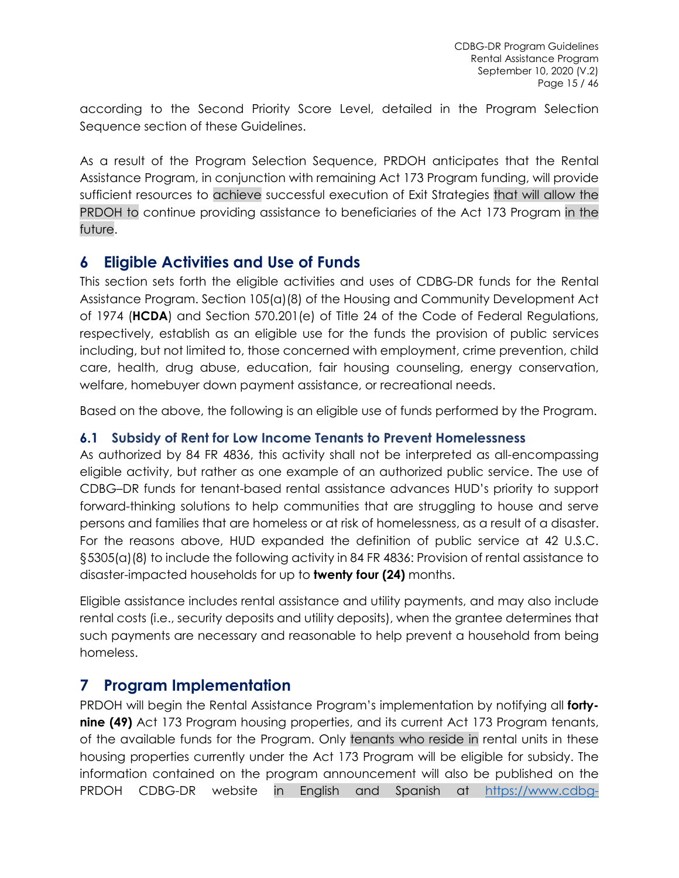according to the Second Priority Score Level, detailed in the Program Selection Sequence section of these Guidelines.

As a result of the Program Selection Sequence, PRDOH anticipates that the Rental Assistance Program, in conjunction with remaining Act 173 Program funding, will provide sufficient resources to achieve successful execution of Exit Strategies that will allow the PRDOH to continue providing assistance to beneficiaries of the Act 173 Program in the future.

## <span id="page-14-0"></span>**6 Eligible Activities and Use of Funds**

This section sets forth the eligible activities and uses of CDBG-DR funds for the Rental Assistance Program. Section 105(a)(8) of the Housing and Community Development Act of 1974 (**HCDA**) and Section 570.201(e) of Title 24 of the Code of Federal Regulations, respectively, establish as an eligible use for the funds the provision of public services including, but not limited to, those concerned with employment, crime prevention, child care, health, drug abuse, education, fair housing counseling, energy conservation, welfare, homebuyer down payment assistance, or recreational needs.

Based on the above, the following is an eligible use of funds performed by the Program.

#### <span id="page-14-1"></span>**6.1 Subsidy of Rent for Low Income Tenants to Prevent Homelessness**

As authorized by 84 FR 4836, this activity shall not be interpreted as all-encompassing eligible activity, but rather as one example of an authorized public service. The use of CDBG–DR funds for tenant-based rental assistance advances HUD's priority to support forward-thinking solutions to help communities that are struggling to house and serve persons and families that are homeless or at risk of homelessness, as a result of a disaster. For the reasons above, HUD expanded the definition of public service at 42 U.S.C. §5305(a)(8) to include the following activity in 84 FR 4836: Provision of rental assistance to disaster-impacted households for up to **twenty four (24)** months.

Eligible assistance includes rental assistance and utility payments, and may also include rental costs (i.e., security deposits and utility deposits), when the grantee determines that such payments are necessary and reasonable to help prevent a household from being homeless.

# <span id="page-14-2"></span>**7 Program Implementation**

PRDOH will begin the Rental Assistance Program's implementation by notifying all **fortynine (49)** Act 173 Program housing properties, and its current Act 173 Program tenants, of the available funds for the Program. Only tenants who reside in rental units in these housing properties currently under the Act 173 Program will be eligible for subsidy. The information contained on the program announcement will also be published on the PRDOH CDBG-DR website in English and Spanish at [https://www.cdbg-](https://www.cdbg-dr.pr.gov/en/rental-assistance/)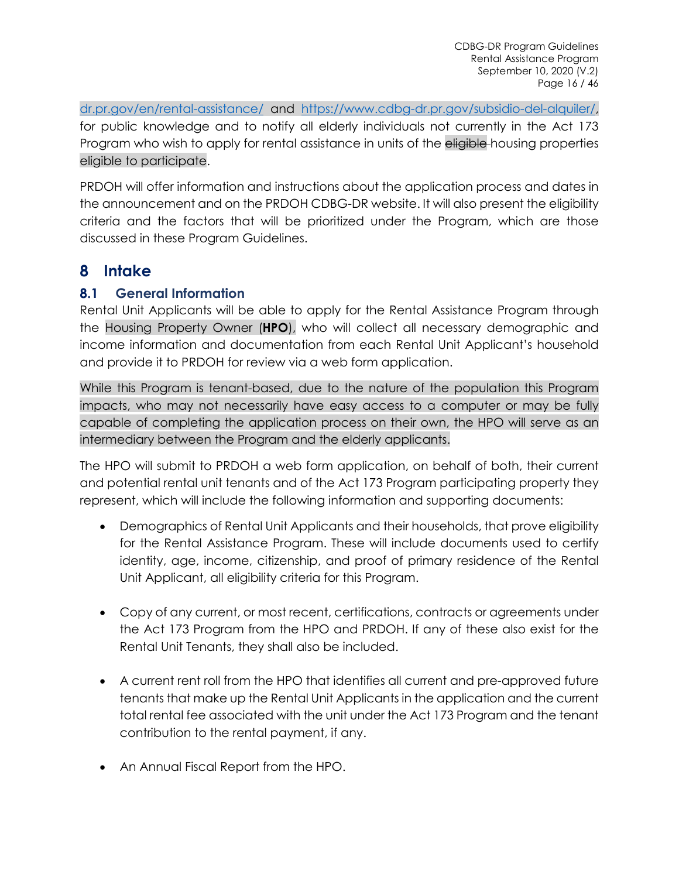[dr.pr.gov/en/rental-assistance/](https://www.cdbg-dr.pr.gov/en/rental-assistance/) and [https://www.cdbg-dr.pr.gov/subsidio-del-alquiler/,](https://www.cdbg-dr.pr.gov/subsidio-del-alquiler/) for public knowledge and to notify all elderly individuals not currently in the Act 173 Program who wish to apply for rental assistance in units of the eligible-housing properties eligible to participate.

PRDOH will offer information and instructions about the application process and dates in the announcement and on the PRDOH CDBG-DR website. It will also present the eligibility criteria and the factors that will be prioritized under the Program, which are those discussed in these Program Guidelines.

# <span id="page-15-0"></span>**8 Intake**

#### <span id="page-15-1"></span>**8.1 General Information**

Rental Unit Applicants will be able to apply for the Rental Assistance Program through the Housing Property Owner (**HPO**), who will collect all necessary demographic and income information and documentation from each Rental Unit Applicant's household and provide it to PRDOH for review via a web form application.

While this Program is tenant-based, due to the nature of the population this Program impacts, who may not necessarily have easy access to a computer or may be fully capable of completing the application process on their own, the HPO will serve as an intermediary between the Program and the elderly applicants.

The HPO will submit to PRDOH a web form application, on behalf of both, their current and potential rental unit tenants and of the Act 173 Program participating property they represent, which will include the following information and supporting documents:

- Demographics of Rental Unit Applicants and their households, that prove eligibility for the Rental Assistance Program. These will include documents used to certify identity, age, income, citizenship, and proof of primary residence of the Rental Unit Applicant, all eligibility criteria for this Program.
- Copy of any current, or most recent, certifications, contracts or agreements under the Act 173 Program from the HPO and PRDOH. If any of these also exist for the Rental Unit Tenants, they shall also be included.
- A current rent roll from the HPO that identifies all current and pre-approved future tenants that make up the Rental Unit Applicants in the application and the current total rental fee associated with the unit under the Act 173 Program and the tenant contribution to the rental payment, if any.
- An Annual Fiscal Report from the HPO.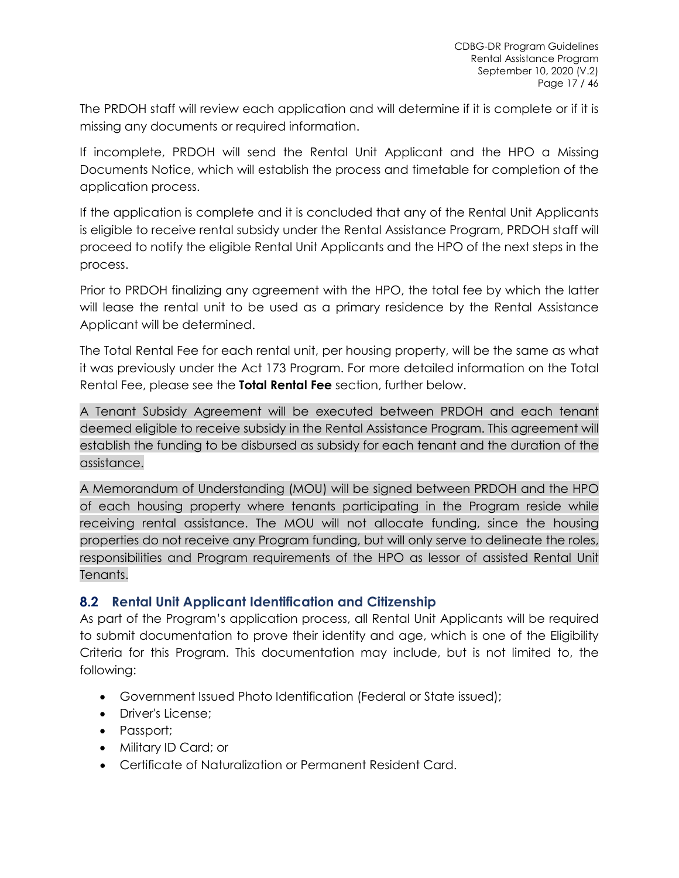The PRDOH staff will review each application and will determine if it is complete or if it is missing any documents or required information.

If incomplete, PRDOH will send the Rental Unit Applicant and the HPO a Missing Documents Notice, which will establish the process and timetable for completion of the application process.

If the application is complete and it is concluded that any of the Rental Unit Applicants is eligible to receive rental subsidy under the Rental Assistance Program, PRDOH staff will proceed to notify the eligible Rental Unit Applicants and the HPO of the next steps in the process.

Prior to PRDOH finalizing any agreement with the HPO, the total fee by which the latter will lease the rental unit to be used as a primary residence by the Rental Assistance Applicant will be determined.

The Total Rental Fee for each rental unit, per housing property, will be the same as what it was previously under the Act 173 Program. For more detailed information on the Total Rental Fee, please see the **Total Rental Fee** section, further below.

A Tenant Subsidy Agreement will be executed between PRDOH and each tenant deemed eligible to receive subsidy in the Rental Assistance Program. This agreement will establish the funding to be disbursed as subsidy for each tenant and the duration of the assistance.

A Memorandum of Understanding (MOU) will be signed between PRDOH and the HPO of each housing property where tenants participating in the Program reside while receiving rental assistance. The MOU will not allocate funding, since the housing properties do not receive any Program funding, but will only serve to delineate the roles, responsibilities and Program requirements of the HPO as lessor of assisted Rental Unit Tenants.

#### <span id="page-16-0"></span>**8.2 Rental Unit Applicant Identification and Citizenship**

As part of the Program's application process, all Rental Unit Applicants will be required to submit documentation to prove their identity and age, which is one of the Eligibility Criteria for this Program. This documentation may include, but is not limited to, the following:

- Government Issued Photo Identification (Federal or State issued);
- Driver's License;
- Passport;
- Military ID Card; or
- Certificate of Naturalization or Permanent Resident Card.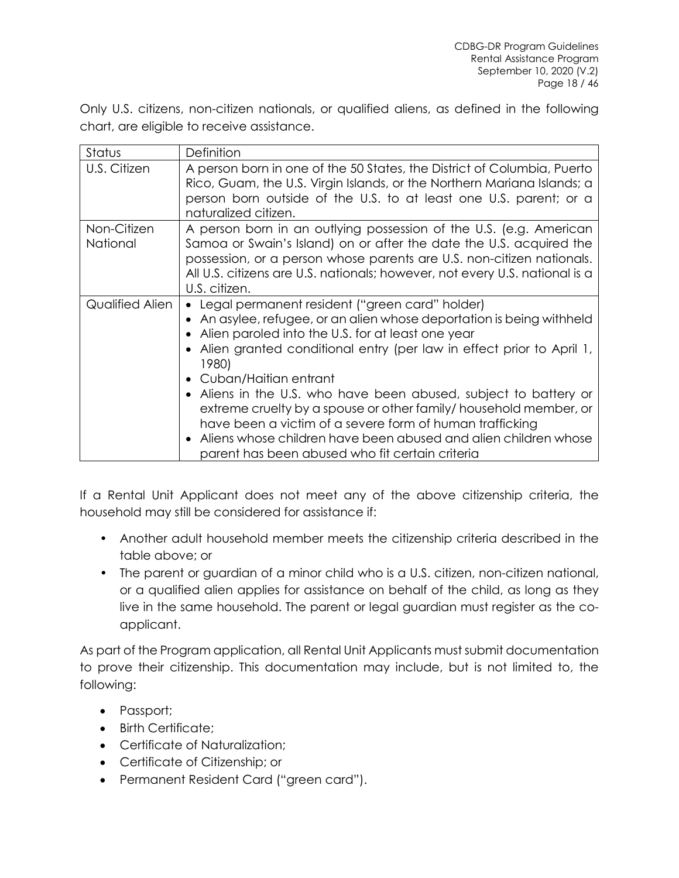Only U.S. citizens, non-citizen nationals, or qualified aliens, as defined in the following chart, are eligible to receive assistance.

| Status                  | Definition                                                                                                                                                                                                                                                                                                                                                                                                                                                                                                                                                                                                                  |
|-------------------------|-----------------------------------------------------------------------------------------------------------------------------------------------------------------------------------------------------------------------------------------------------------------------------------------------------------------------------------------------------------------------------------------------------------------------------------------------------------------------------------------------------------------------------------------------------------------------------------------------------------------------------|
| U.S. Citizen            | A person born in one of the 50 States, the District of Columbia, Puerto<br>Rico, Guam, the U.S. Virgin Islands, or the Northern Mariana Islands; a<br>person born outside of the U.S. to at least one U.S. parent; or a<br>naturalized citizen.                                                                                                                                                                                                                                                                                                                                                                             |
| Non-Citizen<br>National | A person born in an outlying possession of the U.S. (e.g. American<br>Samoa or Swain's Island) on or after the date the U.S. acquired the<br>possession, or a person whose parents are U.S. non-citizen nationals.<br>All U.S. citizens are U.S. nationals; however, not every U.S. national is a<br>U.S. citizen.                                                                                                                                                                                                                                                                                                          |
| Qualified Alien         | • Legal permanent resident ("green card" holder)<br>• An asylee, refugee, or an alien whose deportation is being withheld<br>• Alien paroled into the U.S. for at least one year<br>• Alien granted conditional entry (per law in effect prior to April 1,<br>1980)<br>• Cuban/Haitian entrant<br>• Aliens in the U.S. who have been abused, subject to battery or<br>extreme cruelty by a spouse or other family/ household member, or<br>have been a victim of a severe form of human trafficking<br>• Aliens whose children have been abused and alien children whose<br>parent has been abused who fit certain criteria |

If a Rental Unit Applicant does not meet any of the above citizenship criteria, the household may still be considered for assistance if:

- Another adult household member meets the citizenship criteria described in the table above; or
- The parent or guardian of a minor child who is a U.S. citizen, non-citizen national, or a qualified alien applies for assistance on behalf of the child, as long as they live in the same household. The parent or legal guardian must register as the coapplicant.

As part of the Program application, all Rental Unit Applicants must submit documentation to prove their citizenship. This documentation may include, but is not limited to, the following:

- Passport;
- Birth Certificate;
- Certificate of Naturalization;
- Certificate of Citizenship; or
- Permanent Resident Card ("green card").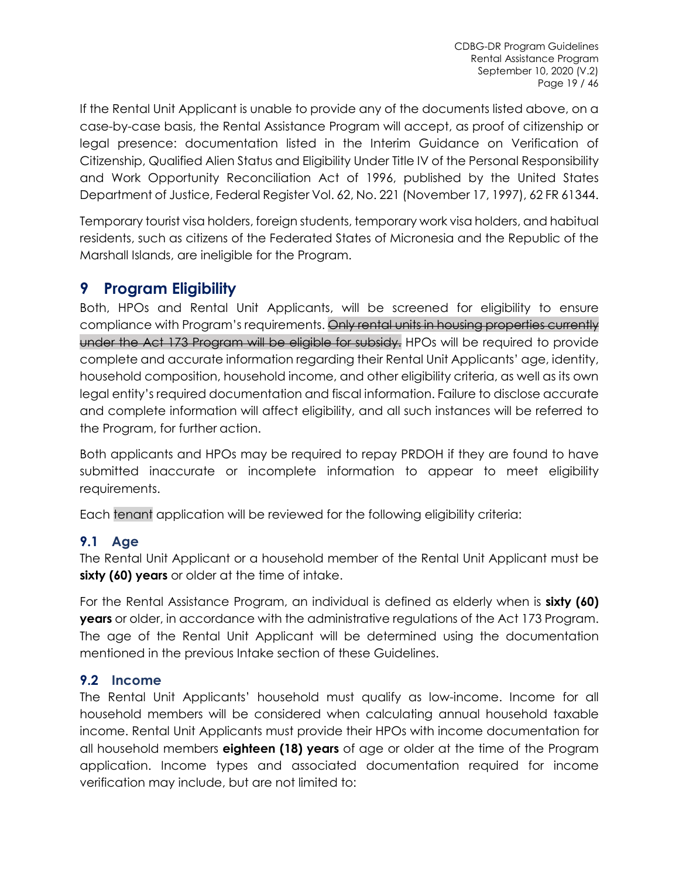If the Rental Unit Applicant is unable to provide any of the documents listed above, on a case-by-case basis, the Rental Assistance Program will accept, as proof of citizenship or legal presence: documentation listed in the Interim Guidance on Verification of Citizenship, Qualified Alien Status and Eligibility Under Title IV of the Personal Responsibility and Work Opportunity Reconciliation Act of 1996, published by the United States Department of Justice, Federal Register Vol. 62, No. 221 (November 17, 1997), 62 FR 61344.

Temporary tourist visa holders, foreign students, temporary work visa holders, and habitual residents, such as citizens of the Federated States of Micronesia and the Republic of the Marshall Islands, are ineligible for the Program.

# <span id="page-18-0"></span>**9 Program Eligibility**

Both, HPOs and Rental Unit Applicants, will be screened for eligibility to ensure compliance with Program's requirements. Only rental units in housing properties currently under the Act 173 Program will be eligible for subsidy. HPOs will be required to provide complete and accurate information regarding their Rental Unit Applicants' age, identity, household composition, household income, and other eligibility criteria, as well as its own legal entity's required documentation and fiscal information. Failure to disclose accurate and complete information will affect eligibility, and all such instances will be referred to the Program, for further action.

Both applicants and HPOs may be required to repay PRDOH if they are found to have submitted inaccurate or incomplete information to appear to meet eligibility requirements.

Each tenant application will be reviewed for the following eligibility criteria:

#### <span id="page-18-1"></span>**9.1 Age**

The Rental Unit Applicant or a household member of the Rental Unit Applicant must be **sixty (60) years** or older at the time of intake.

For the Rental Assistance Program, an individual is defined as elderly when is **sixty (60) years** or older, in accordance with the administrative regulations of the Act 173 Program. The age of the Rental Unit Applicant will be determined using the documentation mentioned in the previous Intake section of these Guidelines.

#### <span id="page-18-2"></span>**9.2 Income**

The Rental Unit Applicants' household must qualify as low-income. Income for all household members will be considered when calculating annual household taxable income. Rental Unit Applicants must provide their HPOs with income documentation for all household members **eighteen (18) years** of age or older at the time of the Program application. Income types and associated documentation required for income verification may include, but are not limited to: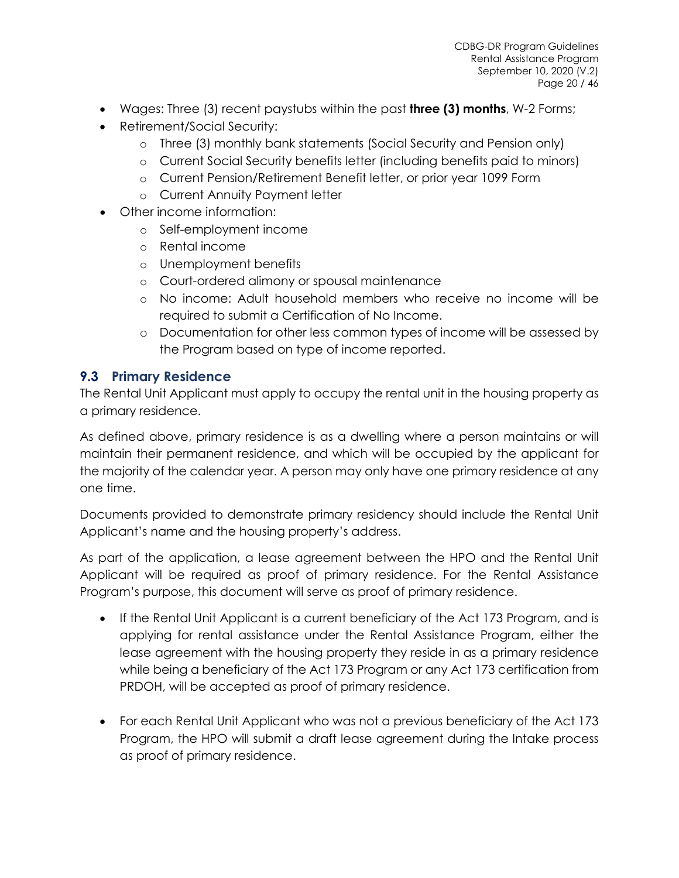- Wages: Three (3) recent paystubs within the past **three (3) months**, W-2 Forms;
- Retirement/Social Security:
	- o Three (3) monthly bank statements (Social Security and Pension only)
	- o Current Social Security benefits letter (including benefits paid to minors)
	- o Current Pension/Retirement Benefit letter, or prior year 1099 Form
	- o Current Annuity Payment letter
- Other income information:
	- o Self-employment income
	- o Rental income
	- o Unemployment benefits
	- o Court-ordered alimony or spousal maintenance
	- o No income: Adult household members who receive no income will be required to submit a Certification of No Income.
	- o Documentation for other less common types of income will be assessed by the Program based on type of income reported.

#### <span id="page-19-0"></span>**9.3 Primary Residence**

The Rental Unit Applicant must apply to occupy the rental unit in the housing property as a primary residence.

As defined above, primary residence is as a dwelling where a person maintains or will maintain their permanent residence, and which will be occupied by the applicant for the majority of the calendar year. A person may only have one primary residence at any one time.

Documents provided to demonstrate primary residency should include the Rental Unit Applicant's name and the housing property's address.

As part of the application, a lease agreement between the HPO and the Rental Unit Applicant will be required as proof of primary residence. For the Rental Assistance Program's purpose, this document will serve as proof of primary residence.

- If the Rental Unit Applicant is a current beneficiary of the Act 173 Program, and is applying for rental assistance under the Rental Assistance Program, either the lease agreement with the housing property they reside in as a primary residence while being a beneficiary of the Act 173 Program or any Act 173 certification from PRDOH, will be accepted as proof of primary residence.
- For each Rental Unit Applicant who was not a previous beneficiary of the Act 173 Program, the HPO will submit a draft lease agreement during the Intake process as proof of primary residence.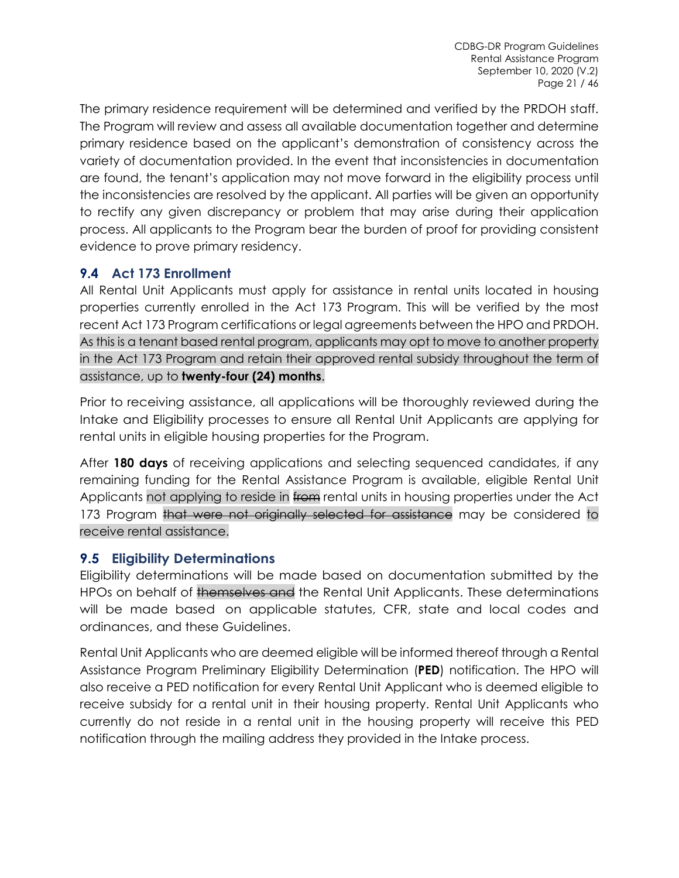The primary residence requirement will be determined and verified by the PRDOH staff. The Program will review and assess all available documentation together and determine primary residence based on the applicant's demonstration of consistency across the variety of documentation provided. In the event that inconsistencies in documentation are found, the tenant's application may not move forward in the eligibility process until the inconsistencies are resolved by the applicant. All parties will be given an opportunity to rectify any given discrepancy or problem that may arise during their application process. All applicants to the Program bear the burden of proof for providing consistent evidence to prove primary residency.

#### <span id="page-20-0"></span>**9.4 Act 173 Enrollment**

All Rental Unit Applicants must apply for assistance in rental units located in housing properties currently enrolled in the Act 173 Program. This will be verified by the most recent Act 173 Program certifications or legal agreements between the HPO and PRDOH. As this is a tenant based rental program, applicants may opt to move to another property in the Act 173 Program and retain their approved rental subsidy throughout the term of assistance, up to **twenty-four (24) months**.

Prior to receiving assistance, all applications will be thoroughly reviewed during the Intake and Eligibility processes to ensure all Rental Unit Applicants are applying for rental units in eligible housing properties for the Program.

After **180 days** of receiving applications and selecting sequenced candidates, if any remaining funding for the Rental Assistance Program is available, eligible Rental Unit Applicants not applying to reside in from rental units in housing properties under the Act 173 Program that were not originally selected for assistance may be considered to receive rental assistance.

#### <span id="page-20-1"></span>**9.5 Eligibility Determinations**

Eligibility determinations will be made based on documentation submitted by the HPOs on behalf of themselves and the Rental Unit Applicants. These determinations will be made based on applicable statutes, CFR, state and local codes and ordinances, and these Guidelines.

Rental Unit Applicants who are deemed eligible will be informed thereof through a Rental Assistance Program Preliminary Eligibility Determination (**PED**) notification. The HPO will also receive a PED notification for every Rental Unit Applicant who is deemed eligible to receive subsidy for a rental unit in their housing property. Rental Unit Applicants who currently do not reside in a rental unit in the housing property will receive this PED notification through the mailing address they provided in the Intake process.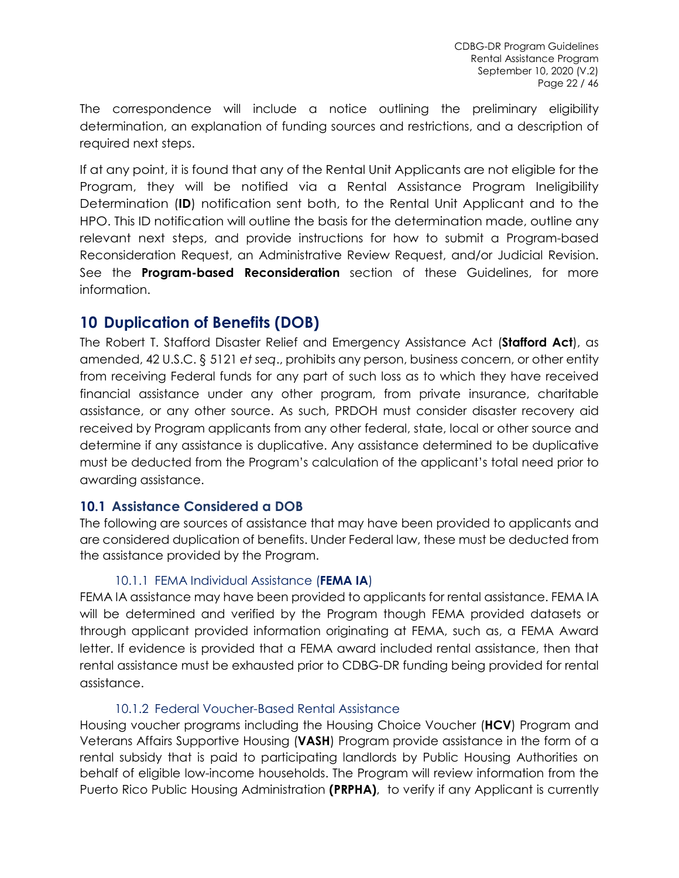The correspondence will include a notice outlining the preliminary eligibility determination, an explanation of funding sources and restrictions, and a description of required next steps.

If at any point, it is found that any of the Rental Unit Applicants are not eligible for the Program, they will be notified via a Rental Assistance Program Ineligibility Determination (**ID**) notification sent both, to the Rental Unit Applicant and to the HPO. This ID notification will outline the basis for the determination made, outline any relevant next steps, and provide instructions for how to submit a Program-based Reconsideration Request, an Administrative Review Request, and/or Judicial Revision. See the **Program-based Reconsideration** section of these Guidelines, for more information.

## <span id="page-21-0"></span>**10 Duplication of Benefits (DOB)**

The Robert T. Stafford Disaster Relief and Emergency Assistance Act (**Stafford Act**), as amended, 42 U.S.C. § 5121 *et seq*., prohibits any person, business concern, or other entity from receiving Federal funds for any part of such loss as to which they have received financial assistance under any other program, from private insurance, charitable assistance, or any other source. As such, PRDOH must consider disaster recovery aid received by Program applicants from any other federal, state, local or other source and determine if any assistance is duplicative. Any assistance determined to be duplicative must be deducted from the Program's calculation of the applicant's total need prior to awarding assistance.

#### <span id="page-21-1"></span>**10.1 Assistance Considered a DOB**

The following are sources of assistance that may have been provided to applicants and are considered duplication of benefits. Under Federal law, these must be deducted from the assistance provided by the Program.

#### 10.1.1 FEMA Individual Assistance (**FEMA IA**)

<span id="page-21-2"></span>FEMA IA assistance may have been provided to applicants for rental assistance. FEMA IA will be determined and verified by the Program though FEMA provided datasets or through applicant provided information originating at FEMA, such as, a FEMA Award letter. If evidence is provided that a FEMA award included rental assistance, then that rental assistance must be exhausted prior to CDBG-DR funding being provided for rental assistance.

#### 10.1.2 Federal Voucher-Based Rental Assistance

<span id="page-21-3"></span>Housing voucher programs including the Housing Choice Voucher (**HCV**) Program and Veterans Affairs Supportive Housing (**VASH**) Program provide assistance in the form of a rental subsidy that is paid to participating landlords by Public Housing Authorities on behalf of eligible low-income households. The Program will review information from the Puerto Rico Public Housing Administration **(PRPHA)**, to verify if any Applicant is currently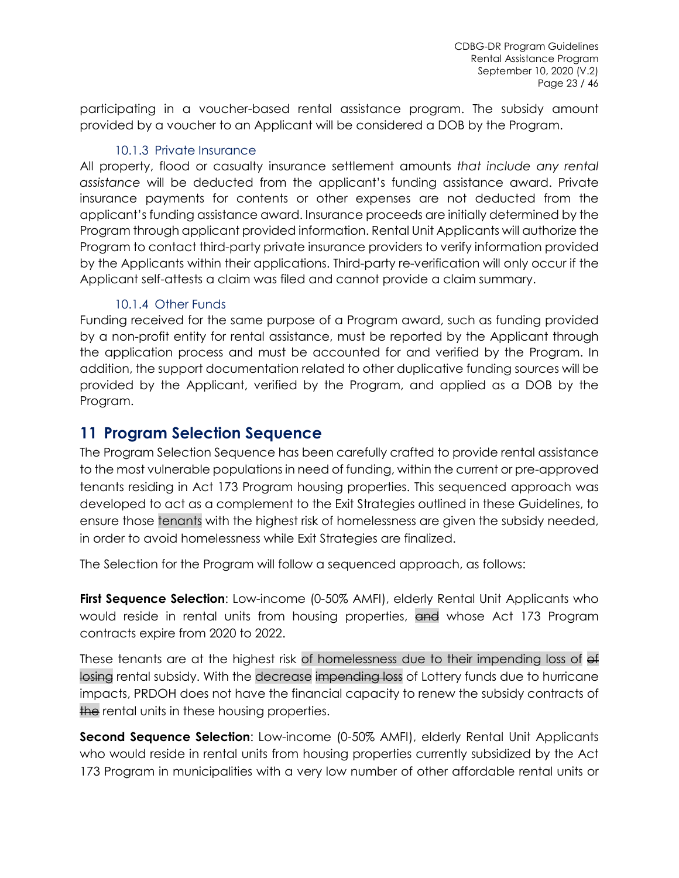participating in a voucher-based rental assistance program. The subsidy amount provided by a voucher to an Applicant will be considered a DOB by the Program.

#### 10.1.3 Private Insurance

<span id="page-22-0"></span>All property, flood or casualty insurance settlement amounts *that include any rental assistance* will be deducted from the applicant's funding assistance award. Private insurance payments for contents or other expenses are not deducted from the applicant's funding assistance award. Insurance proceeds are initially determined by the Program through applicant provided information. Rental Unit Applicants will authorize the Program to contact third-party private insurance providers to verify information provided by the Applicants within their applications. Third-party re-verification will only occur if the Applicant self-attests a claim was filed and cannot provide a claim summary.

#### 10.1.4 Other Funds

<span id="page-22-1"></span>Funding received for the same purpose of a Program award, such as funding provided by a non-profit entity for rental assistance, must be reported by the Applicant through the application process and must be accounted for and verified by the Program. In addition, the support documentation related to other duplicative funding sources will be provided by the Applicant, verified by the Program, and applied as a DOB by the Program.

### <span id="page-22-2"></span>**11 Program Selection Sequence**

The Program Selection Sequence has been carefully crafted to provide rental assistance to the most vulnerable populations in need of funding, within the current or pre-approved tenants residing in Act 173 Program housing properties. This sequenced approach was developed to act as a complement to the Exit Strategies outlined in these Guidelines, to ensure those tenants with the highest risk of homelessness are given the subsidy needed, in order to avoid homelessness while Exit Strategies are finalized.

The Selection for the Program will follow a sequenced approach, as follows:

**First Sequence Selection**: Low-income (0-50% AMFI), elderly Rental Unit Applicants who would reside in rental units from housing properties, and whose Act 173 Program contracts expire from 2020 to 2022.

These tenants are at the highest risk of homelessness due to their impending loss of of losing rental subsidy. With the decrease impending loss of Lottery funds due to hurricane impacts, PRDOH does not have the financial capacity to renew the subsidy contracts of the rental units in these housing properties.

**Second Sequence Selection**: Low-income (0-50% AMFI), elderly Rental Unit Applicants who would reside in rental units from housing properties currently subsidized by the Act 173 Program in municipalities with a very low number of other affordable rental units or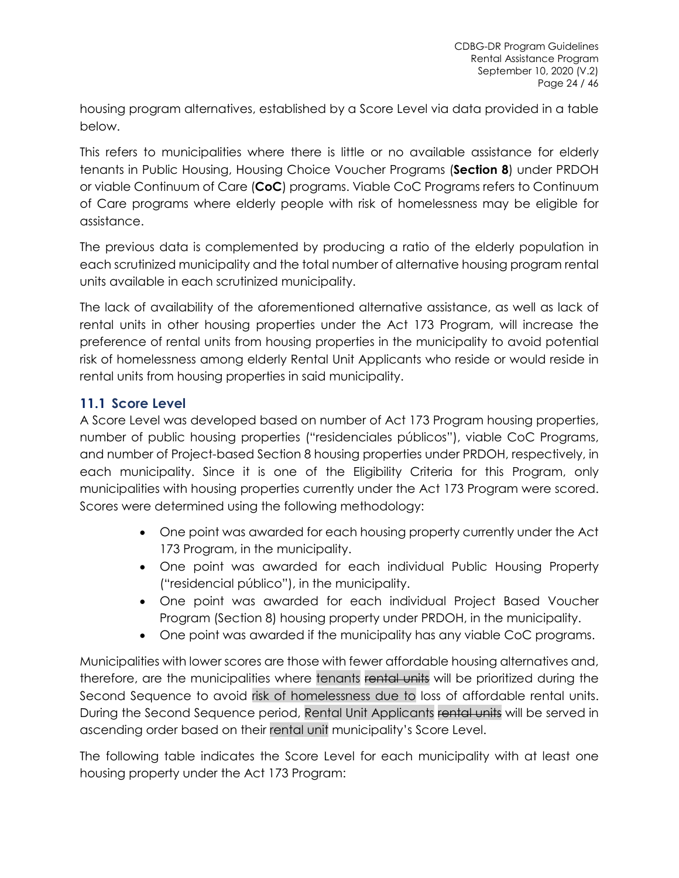housing program alternatives, established by a Score Level via data provided in a table below.

This refers to municipalities where there is little or no available assistance for elderly tenants in Public Housing, Housing Choice Voucher Programs (**Section 8**) under PRDOH or viable Continuum of Care (**CoC**) programs. Viable CoC Programs refers to Continuum of Care programs where elderly people with risk of homelessness may be eligible for assistance.

The previous data is complemented by producing a ratio of the elderly population in each scrutinized municipality and the total number of alternative housing program rental units available in each scrutinized municipality.

The lack of availability of the aforementioned alternative assistance, as well as lack of rental units in other housing properties under the Act 173 Program, will increase the preference of rental units from housing properties in the municipality to avoid potential risk of homelessness among elderly Rental Unit Applicants who reside or would reside in rental units from housing properties in said municipality.

#### <span id="page-23-0"></span>**11.1 Score Level**

A Score Level was developed based on number of Act 173 Program housing properties, number of public housing properties ("residenciales públicos"), viable CoC Programs, and number of Project-based Section 8 housing properties under PRDOH, respectively, in each municipality. Since it is one of the Eligibility Criteria for this Program, only municipalities with housing properties currently under the Act 173 Program were scored. Scores were determined using the following methodology:

- One point was awarded for each housing property currently under the Act 173 Program, in the municipality.
- One point was awarded for each individual Public Housing Property ("residencial público"), in the municipality.
- One point was awarded for each individual Project Based Voucher Program (Section 8) housing property under PRDOH, in the municipality.
- One point was awarded if the municipality has any viable CoC programs.

Municipalities with lower scores are those with fewer affordable housing alternatives and, therefore, are the municipalities where tenants rental units will be prioritized during the Second Sequence to avoid risk of homelessness due to loss of affordable rental units. During the Second Sequence period, Rental Unit Applicants rental units will be served in ascending order based on their rental unit municipality's Score Level.

The following table indicates the Score Level for each municipality with at least one housing property under the Act 173 Program: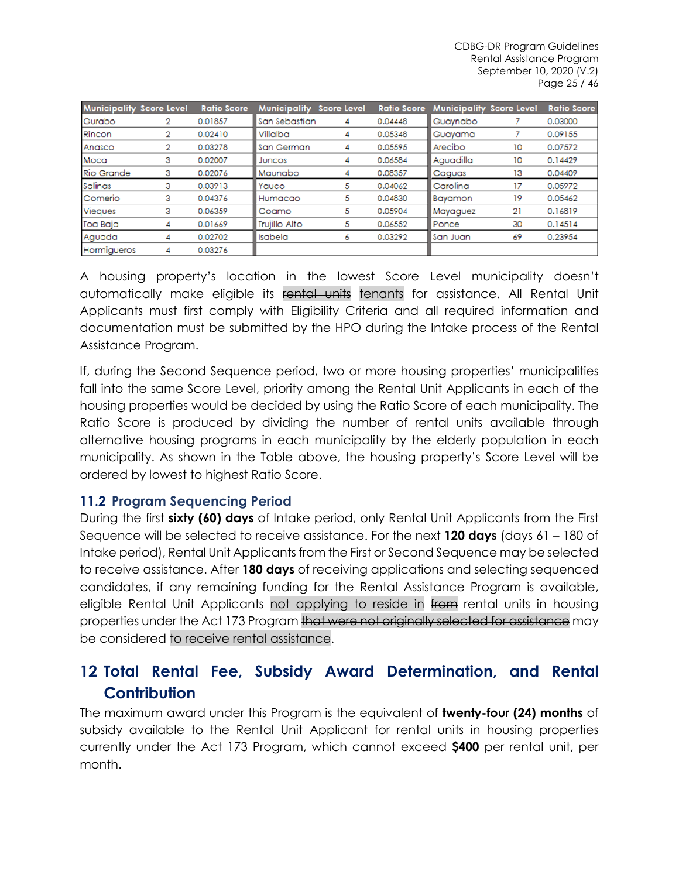| <b>Municipality Score Level</b> |   | <b>Ratio Score</b> | <b>Municipality</b> | <b>Score Level</b> | <b>Ratio Score</b> | <b>Municipality Score Level</b> |    | <b>Ratio Score</b> |
|---------------------------------|---|--------------------|---------------------|--------------------|--------------------|---------------------------------|----|--------------------|
| Gurabo                          |   | 0.01857            | San Sebastian       | 4                  | 0.04448            | Guaynabo                        |    | 0.03000            |
| Rincon                          | 2 | 0.02410            | Villalba            | 4                  | 0.05348            | Guayama                         |    | 0.09155            |
| Anasco                          | 2 | 0.03278            | San German          | 4                  | 0.05595            | Arecibo                         | 10 | 0.07572            |
| Moca                            | 3 | 0.02007            | Juncos              | 4                  | 0.06584            | Aguadilla                       | 10 | 0.14429            |
| <b>Rio Grande</b>               | 3 | 0.02076            | Maunabo             | 4                  | 0.08357            | Caguas                          | 13 | 0.04409            |
| Salinas                         | з | 0.03913            | Yauco               | 5                  | 0.04062            | Carolina                        | 17 | 0.05972            |
| Comerio                         | 3 | 0.04376            | Humacao             | 5                  | 0.04830            | Bayamon                         | 19 | 0.05462            |
| Vieques                         | з | 0.06359            | Coamo               | 5                  | 0.05904            | Mayaguez                        | 21 | 0.16819            |
| Toa Baja                        | 4 | 0.01669            | Trujillo Alto       | 5                  | 0.06552            | Ponce                           | 30 | 0.14514            |
| Aauada                          | 4 | 0.02702            | Isabela             | 6                  | 0.03292            | San Juan                        | 69 | 0.23954            |
| Hormigueros                     | 4 | 0.03276            |                     |                    |                    |                                 |    |                    |

A housing property's location in the lowest Score Level municipality doesn't automatically make eligible its rental units tenants for assistance. All Rental Unit Applicants must first comply with Eligibility Criteria and all required information and documentation must be submitted by the HPO during the Intake process of the Rental Assistance Program.

If, during the Second Sequence period, two or more housing properties' municipalities fall into the same Score Level, priority among the Rental Unit Applicants in each of the housing properties would be decided by using the Ratio Score of each municipality. The Ratio Score is produced by dividing the number of rental units available through alternative housing programs in each municipality by the elderly population in each municipality. As shown in the Table above, the housing property's Score Level will be ordered by lowest to highest Ratio Score.

#### <span id="page-24-0"></span>**11.2 Program Sequencing Period**

During the first **sixty (60) days** of Intake period, only Rental Unit Applicants from the First Sequence will be selected to receive assistance. For the next **120 days** (days 61 – 180 of Intake period), Rental Unit Applicants from the First or Second Sequence may be selected to receive assistance. After **180 days** of receiving applications and selecting sequenced candidates, if any remaining funding for the Rental Assistance Program is available, eligible Rental Unit Applicants not applying to reside in from rental units in housing properties under the Act 173 Program that were not originally selected for assistance may be considered to receive rental assistance.

# <span id="page-24-1"></span>**12 Total Rental Fee, Subsidy Award Determination, and Rental Contribution**

The maximum award under this Program is the equivalent of **twenty-four (24) months** of subsidy available to the Rental Unit Applicant for rental units in housing properties currently under the Act 173 Program, which cannot exceed **\$400** per rental unit, per month.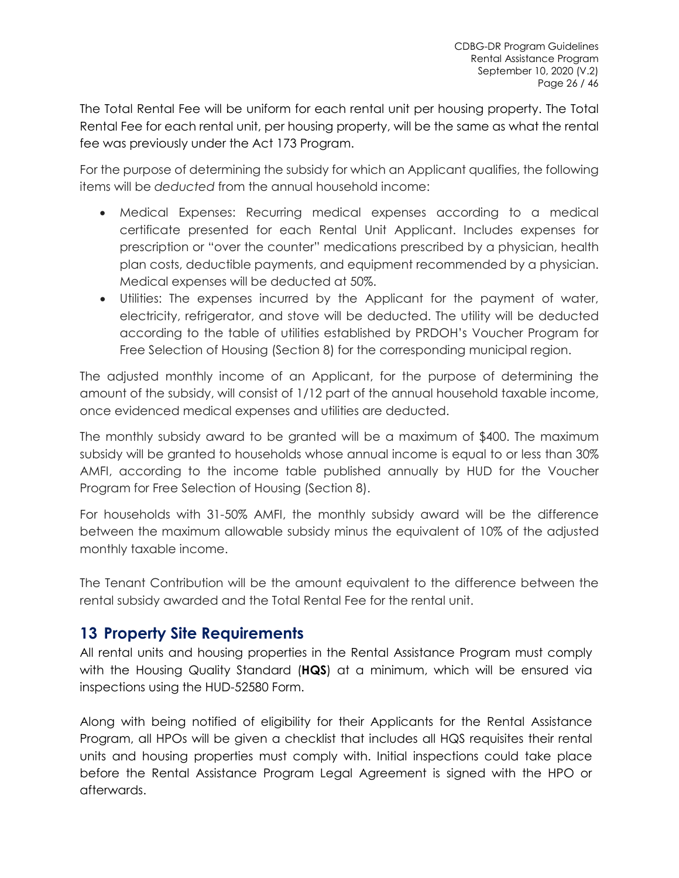The Total Rental Fee will be uniform for each rental unit per housing property. The Total Rental Fee for each rental unit, per housing property, will be the same as what the rental fee was previously under the Act 173 Program.

For the purpose of determining the subsidy for which an Applicant qualifies, the following items will be *deducted* from the annual household income:

- Medical Expenses: Recurring medical expenses according to a medical certificate presented for each Rental Unit Applicant. Includes expenses for prescription or "over the counter" medications prescribed by a physician, health plan costs, deductible payments, and equipment recommended by a physician. Medical expenses will be deducted at 50%.
- Utilities: The expenses incurred by the Applicant for the payment of water, electricity, refrigerator, and stove will be deducted. The utility will be deducted according to the table of utilities established by PRDOH's Voucher Program for Free Selection of Housing (Section 8) for the corresponding municipal region.

The adjusted monthly income of an Applicant, for the purpose of determining the amount of the subsidy, will consist of 1/12 part of the annual household taxable income, once evidenced medical expenses and utilities are deducted.

The monthly subsidy award to be granted will be a maximum of \$400. The maximum subsidy will be granted to households whose annual income is equal to or less than 30% AMFI, according to the income table published annually by HUD for the Voucher Program for Free Selection of Housing (Section 8).

For households with 31-50% AMFI, the monthly subsidy award will be the difference between the maximum allowable subsidy minus the equivalent of 10% of the adjusted monthly taxable income.

The Tenant Contribution will be the amount equivalent to the difference between the rental subsidy awarded and the Total Rental Fee for the rental unit.

### <span id="page-25-0"></span>**13 Property Site Requirements**

All rental units and housing properties in the Rental Assistance Program must comply with the Housing Quality Standard (**HQS**) at a minimum, which will be ensured via inspections using the HUD-52580 Form.

Along with being notified of eligibility for their Applicants for the Rental Assistance Program, all HPOs will be given a checklist that includes all HQS requisites their rental units and housing properties must comply with. Initial inspections could take place before the Rental Assistance Program Legal Agreement is signed with the HPO or afterwards.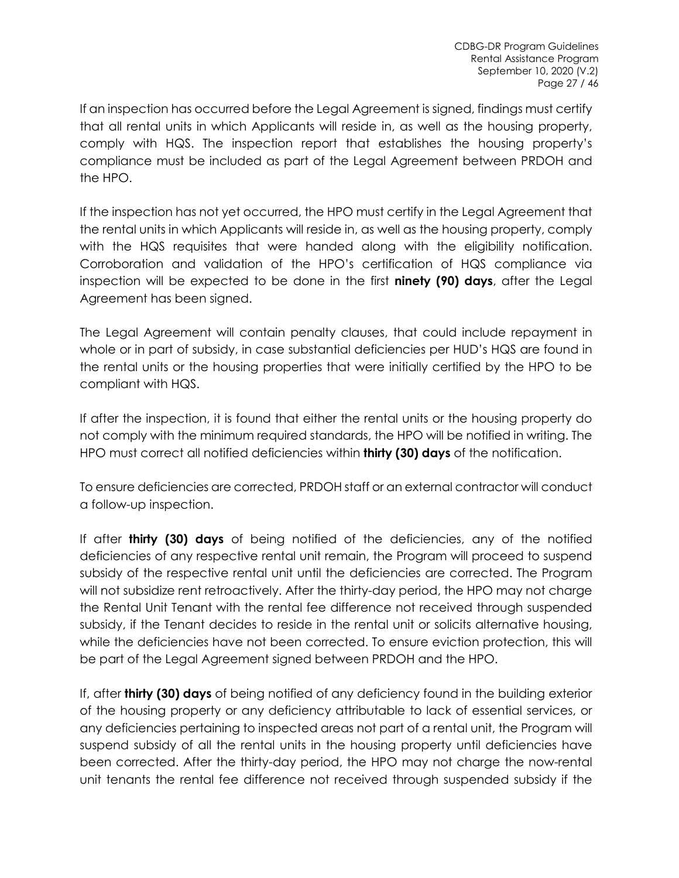If an inspection has occurred before the Legal Agreement is signed, findings must certify that all rental units in which Applicants will reside in, as well as the housing property, comply with HQS. The inspection report that establishes the housing property's compliance must be included as part of the Legal Agreement between PRDOH and the HPO.

If the inspection has not yet occurred, the HPO must certify in the Legal Agreement that the rental units in which Applicants will reside in, as well as the housing property, comply with the HQS requisites that were handed along with the eligibility notification. Corroboration and validation of the HPO's certification of HQS compliance via inspection will be expected to be done in the first **ninety (90) days**, after the Legal Agreement has been signed.

The Legal Agreement will contain penalty clauses, that could include repayment in whole or in part of subsidy, in case substantial deficiencies per HUD's HQS are found in the rental units or the housing properties that were initially certified by the HPO to be compliant with HQS.

If after the inspection, it is found that either the rental units or the housing property do not comply with the minimum required standards, the HPO will be notified in writing. The HPO must correct all notified deficiencies within **thirty (30) days** of the notification.

To ensure deficiencies are corrected, PRDOH staff or an external contractor will conduct a follow-up inspection.

If after **thirty (30) days** of being notified of the deficiencies, any of the notified deficiencies of any respective rental unit remain, the Program will proceed to suspend subsidy of the respective rental unit until the deficiencies are corrected. The Program will not subsidize rent retroactively. After the thirty-day period, the HPO may not charge the Rental Unit Tenant with the rental fee difference not received through suspended subsidy, if the Tenant decides to reside in the rental unit or solicits alternative housing, while the deficiencies have not been corrected. To ensure eviction protection, this will be part of the Legal Agreement signed between PRDOH and the HPO.

If, after **thirty (30) days** of being notified of any deficiency found in the building exterior of the housing property or any deficiency attributable to lack of essential services, or any deficiencies pertaining to inspected areas not part of a rental unit, the Program will suspend subsidy of all the rental units in the housing property until deficiencies have been corrected. After the thirty-day period, the HPO may not charge the now-rental unit tenants the rental fee difference not received through suspended subsidy if the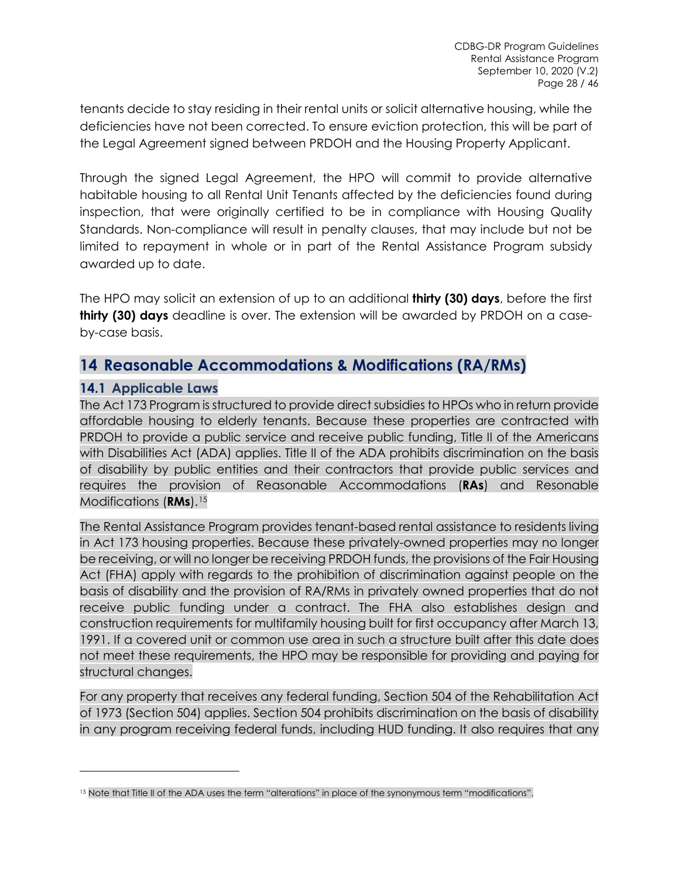tenants decide to stay residing in their rental units or solicit alternative housing, while the deficiencies have not been corrected. To ensure eviction protection, this will be part of the Legal Agreement signed between PRDOH and the Housing Property Applicant.

Through the signed Legal Agreement, the HPO will commit to provide alternative habitable housing to all Rental Unit Tenants affected by the deficiencies found during inspection, that were originally certified to be in compliance with Housing Quality Standards. Non-compliance will result in penalty clauses, that may include but not be limited to repayment in whole or in part of the Rental Assistance Program subsidy awarded up to date.

The HPO may solicit an extension of up to an additional **thirty (30) days**, before the first **thirty (30) days** deadline is over. The extension will be awarded by PRDOH on a caseby-case basis.

### <span id="page-27-0"></span>**14 Reasonable Accommodations & Modifications (RA/RMs)**

#### <span id="page-27-1"></span>**14.1 Applicable Laws**

 $\overline{a}$ 

The Act 173 Program is structured to provide direct subsidies to HPOs who in return provide affordable housing to elderly tenants. Because these properties are contracted with PRDOH to provide a public service and receive public funding, Title II of the Americans with Disabilities Act (ADA) applies. Title II of the ADA prohibits discrimination on the basis of disability by public entities and their contractors that provide public services and requires the provision of Reasonable Accommodations (**RAs**) and Resonable Modifications (**RMs**).[15](#page-27-2)

The Rental Assistance Program provides tenant-based rental assistance to residents living in Act 173 housing properties. Because these privately-owned properties may no longer be receiving, or will no longer be receiving PRDOH funds, the provisions of the Fair Housing Act (FHA) apply with regards to the prohibition of discrimination against people on the basis of disability and the provision of RA/RMs in privately owned properties that do not receive public funding under a contract. The FHA also establishes design and construction requirements for multifamily housing built for first occupancy after March 13, 1991. If a covered unit or common use area in such a structure built after this date does not meet these requirements, the HPO may be responsible for providing and paying for structural changes.

For any property that receives any federal funding, Section 504 of the Rehabilitation Act of 1973 (Section 504) applies. Section 504 prohibits discrimination on the basis of disability in any program receiving federal funds, including HUD funding. It also requires that any

<span id="page-27-2"></span><sup>15</sup> Note that Title II of the ADA uses the term "alterations" in place of the synonymous term "modifications".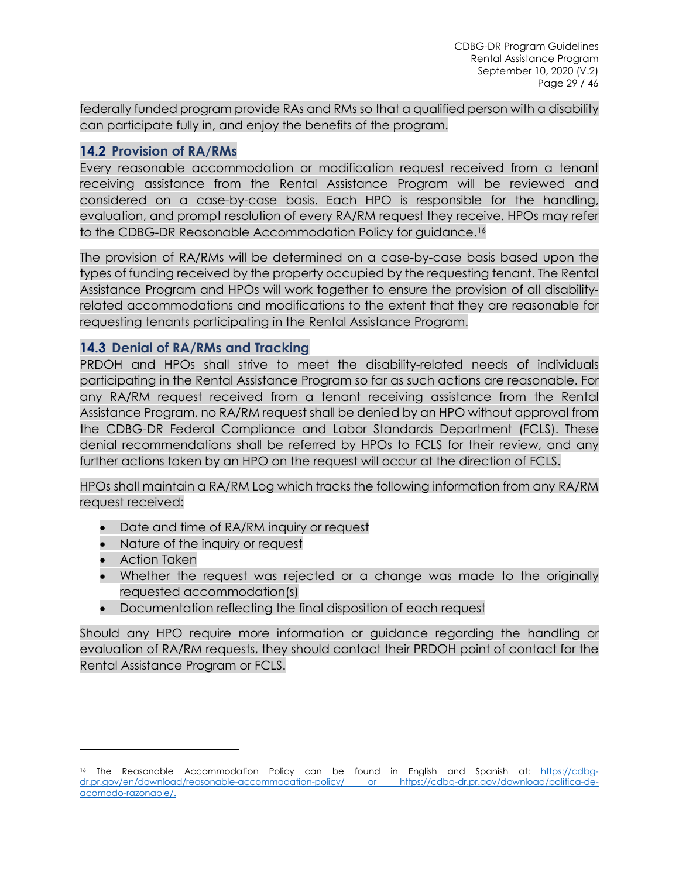federally funded program provide RAs and RMs so that a qualified person with a disability can participate fully in, and enjoy the benefits of the program.

#### <span id="page-28-0"></span>**14.2 Provision of RA/RMs**

Every reasonable accommodation or modification request received from a tenant receiving assistance from the Rental Assistance Program will be reviewed and considered on a case-by-case basis. Each HPO is responsible for the handling, evaluation, and prompt resolution of every RA/RM request they receive. HPOs may refer to the CDBG-DR Reasonable Accommodation Policy for guidance.[16](#page-28-2)

The provision of RA/RMs will be determined on a case-by-case basis based upon the types of funding received by the property occupied by the requesting tenant. The Rental Assistance Program and HPOs will work together to ensure the provision of all disabilityrelated accommodations and modifications to the extent that they are reasonable for requesting tenants participating in the Rental Assistance Program.

#### <span id="page-28-1"></span>**14.3 Denial of RA/RMs and Tracking**

PRDOH and HPOs shall strive to meet the disability-related needs of individuals participating in the Rental Assistance Program so far as such actions are reasonable. For any RA/RM request received from a tenant receiving assistance from the Rental Assistance Program, no RA/RM request shall be denied by an HPO without approval from the CDBG-DR Federal Compliance and Labor Standards Department (FCLS). These denial recommendations shall be referred by HPOs to FCLS for their review, and any further actions taken by an HPO on the request will occur at the direction of FCLS.

HPOs shall maintain a RA/RM Log which tracks the following information from any RA/RM request received:

- Date and time of RA/RM inquiry or request
- Nature of the inquiry or request
- Action Taken

 $\overline{a}$ 

- Whether the request was rejected or a change was made to the originally requested accommodation(s)
- Documentation reflecting the final disposition of each request

Should any HPO require more information or guidance regarding the handling or evaluation of RA/RM requests, they should contact their PRDOH point of contact for the Rental Assistance Program or FCLS.

<span id="page-28-2"></span><sup>&</sup>lt;sup>16</sup> The Reasonable Accommodation Policy can be found in English and Spanish at: https://cdba[dr.pr.gov/en/download/reasonable-accommodation-policy/](https://cdbg-dr.pr.gov/en/download/reasonable-accommodation-policy/) or [https://cdbg-dr.pr.gov/download/politica-de](https://cdbg-dr.pr.gov/download/politica-de-acomodo-razonable/)[acomodo-razonable/.](https://cdbg-dr.pr.gov/download/politica-de-acomodo-razonable/)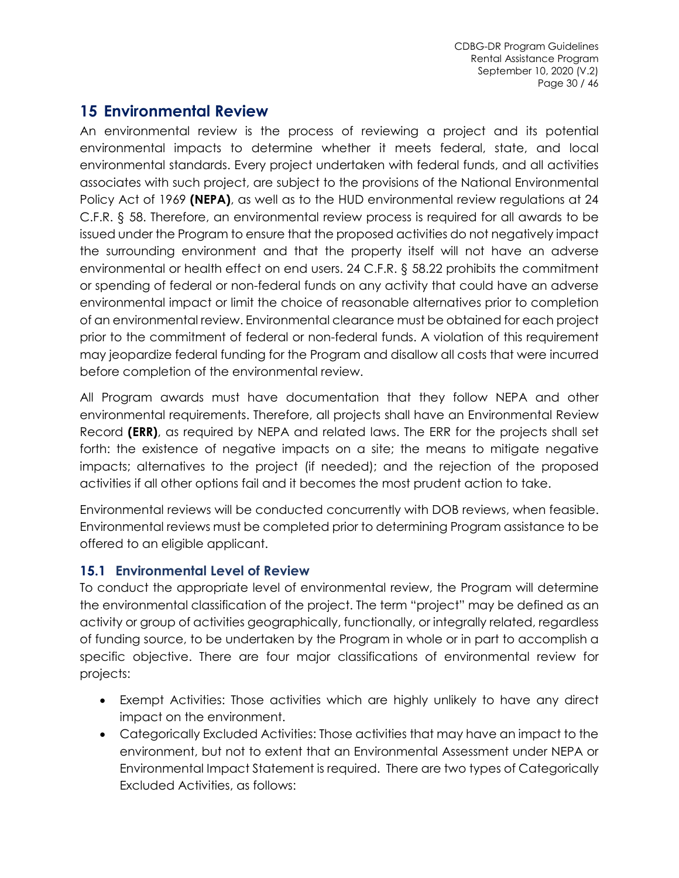## <span id="page-29-0"></span>**15 Environmental Review**

An environmental review is the process of reviewing a project and its potential environmental impacts to determine whether it meets federal, state, and local environmental standards. Every project undertaken with federal funds, and all activities associates with such project, are subject to the provisions of the National Environmental Policy Act of 1969 **(NEPA)**, as well as to the HUD environmental review regulations at 24 C.F.R. § 58. Therefore, an environmental review process is required for all awards to be issued under the Program to ensure that the proposed activities do not negatively impact the surrounding environment and that the property itself will not have an adverse environmental or health effect on end users. 24 C.F.R. § 58.22 prohibits the commitment or spending of federal or non-federal funds on any activity that could have an adverse environmental impact or limit the choice of reasonable alternatives prior to completion of an environmental review. Environmental clearance must be obtained for each project prior to the commitment of federal or non-federal funds. A violation of this requirement may jeopardize federal funding for the Program and disallow all costs that were incurred before completion of the environmental review.

All Program awards must have documentation that they follow NEPA and other environmental requirements. Therefore, all projects shall have an Environmental Review Record **(ERR)**, as required by NEPA and related laws. The ERR for the projects shall set forth: the existence of negative impacts on a site; the means to mitigate negative impacts; alternatives to the project (if needed); and the rejection of the proposed activities if all other options fail and it becomes the most prudent action to take.

Environmental reviews will be conducted concurrently with DOB reviews, when feasible. Environmental reviews must be completed prior to determining Program assistance to be offered to an eligible applicant.

#### <span id="page-29-1"></span>**15.1 Environmental Level of Review**

To conduct the appropriate level of environmental review, the Program will determine the environmental classification of the project. The term "project" may be defined as an activity or group of activities geographically, functionally, or integrally related, regardless of funding source, to be undertaken by the Program in whole or in part to accomplish a specific objective. There are four major classifications of environmental review for projects:

- Exempt Activities: Those activities which are highly unlikely to have any direct impact on the environment.
- Categorically Excluded Activities: Those activities that may have an impact to the environment, but not to extent that an Environmental Assessment under NEPA or Environmental Impact Statement is required. There are two types of Categorically Excluded Activities, as follows: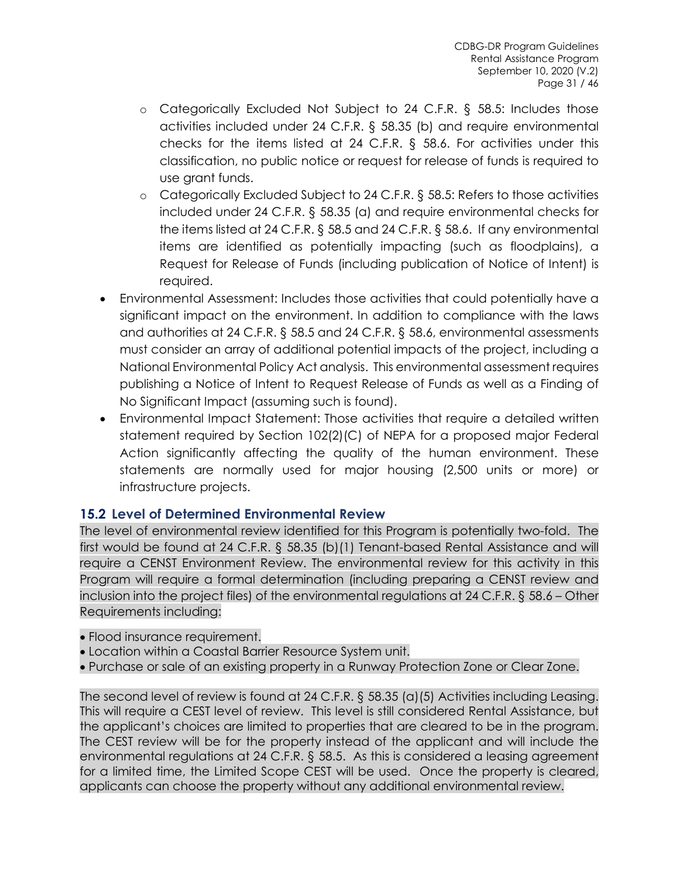- o Categorically Excluded Not Subject to 24 C.F.R. § 58.5: Includes those activities included under 24 C.F.R. § 58.35 (b) and require environmental checks for the items listed at 24 C.F.R. § 58.6. For activities under this classification, no public notice or request for release of funds is required to use grant funds.
- o Categorically Excluded Subject to 24 C.F.R. § 58.5: Refers to those activities included under 24 C.F.R. § 58.35 (a) and require environmental checks for the items listed at 24 C.F.R. § 58.5 and 24 C.F.R. § 58.6. If any environmental items are identified as potentially impacting (such as floodplains), a Request for Release of Funds (including publication of Notice of Intent) is required.
- Environmental Assessment: Includes those activities that could potentially have a significant impact on the environment. In addition to compliance with the laws and authorities at 24 C.F.R. § 58.5 and 24 C.F.R. § 58.6, environmental assessments must consider an array of additional potential impacts of the project, including a National Environmental Policy Act analysis. This environmental assessment requires publishing a Notice of Intent to Request Release of Funds as well as a Finding of No Significant Impact (assuming such is found).
- Environmental Impact Statement: Those activities that require a detailed written statement required by Section 102(2)(C) of NEPA for a proposed major Federal Action significantly affecting the quality of the human environment. These statements are normally used for major housing (2,500 units or more) or infrastructure projects.

#### <span id="page-30-0"></span>**15.2 Level of Determined Environmental Review**

The level of environmental review identified for this Program is potentially two-fold. The first would be found at 24 C.F.R. § 58.35 (b)(1) Tenant-based Rental Assistance and will require a CENST Environment Review. The environmental review for this activity in this Program will require a formal determination (including preparing a CENST review and inclusion into the project files) of the environmental regulations at 24 C.F.R. § 58.6 – Other Requirements including:

- Flood insurance requirement.
- Location within a Coastal Barrier Resource System unit.
- Purchase or sale of an existing property in a Runway Protection Zone or Clear Zone.

The second level of review is found at 24 C.F.R. § 58.35 (a)(5) Activities including Leasing. This will require a CEST level of review. This level is still considered Rental Assistance, but the applicant's choices are limited to properties that are cleared to be in the program. The CEST review will be for the property instead of the applicant and will include the environmental regulations at 24 C.F.R. § 58.5. As this is considered a leasing agreement for a limited time, the Limited Scope CEST will be used. Once the property is cleared, applicants can choose the property without any additional environmental review.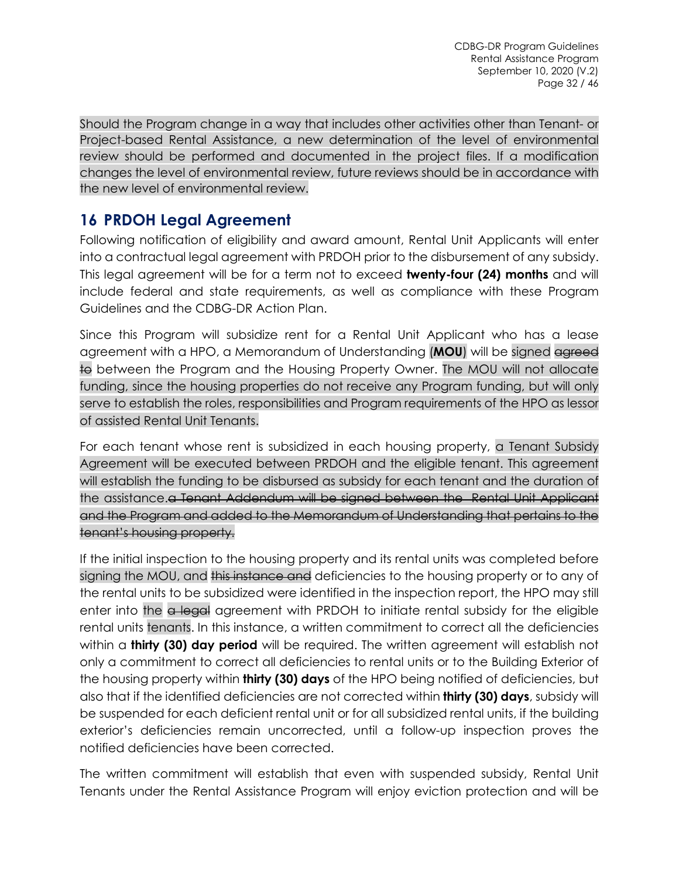Should the Program change in a way that includes other activities other than Tenant- or Project-based Rental Assistance, a new determination of the level of environmental review should be performed and documented in the project files. If a modification changes the level of environmental review, future reviews should be in accordance with the new level of environmental review.

# <span id="page-31-0"></span>**16 PRDOH Legal Agreement**

Following notification of eligibility and award amount, Rental Unit Applicants will enter into a contractual legal agreement with PRDOH prior to the disbursement of any subsidy. This legal agreement will be for a term not to exceed **twenty-four (24) months** and will include federal and state requirements, as well as compliance with these Program Guidelines and the CDBG-DR Action Plan.

Since this Program will subsidize rent for a Rental Unit Applicant who has a lease agreement with a HPO, a Memorandum of Understanding (**MOU**) will be signed agreed to between the Program and the Housing Property Owner. The MOU will not allocate funding, since the housing properties do not receive any Program funding, but will only serve to establish the roles, responsibilities and Program requirements of the HPO as lessor of assisted Rental Unit Tenants.

For each tenant whose rent is subsidized in each housing property, a Tenant Subsidy Agreement will be executed between PRDOH and the eligible tenant. This agreement will establish the funding to be disbursed as subsidy for each tenant and the duration of the assistance.a Tenant Addendum will be signed between the Rental Unit Applicant and the Program and added to the Memorandum of Understanding that pertains to the tenant's housing property.

If the initial inspection to the housing property and its rental units was completed before signing the MOU, and this instance and deficiencies to the housing property or to any of the rental units to be subsidized were identified in the inspection report, the HPO may still enter into the a legal agreement with PRDOH to initiate rental subsidy for the eligible rental units tenants. In this instance, a written commitment to correct all the deficiencies within a **thirty (30) day period** will be required. The written agreement will establish not only a commitment to correct all deficiencies to rental units or to the Building Exterior of the housing property within **thirty (30) days** of the HPO being notified of deficiencies, but also that if the identified deficiencies are not corrected within **thirty (30) days**, subsidy will be suspended for each deficient rental unit or for all subsidized rental units, if the building exterior's deficiencies remain uncorrected, until a follow-up inspection proves the notified deficiencies have been corrected.

The written commitment will establish that even with suspended subsidy, Rental Unit Tenants under the Rental Assistance Program will enjoy eviction protection and will be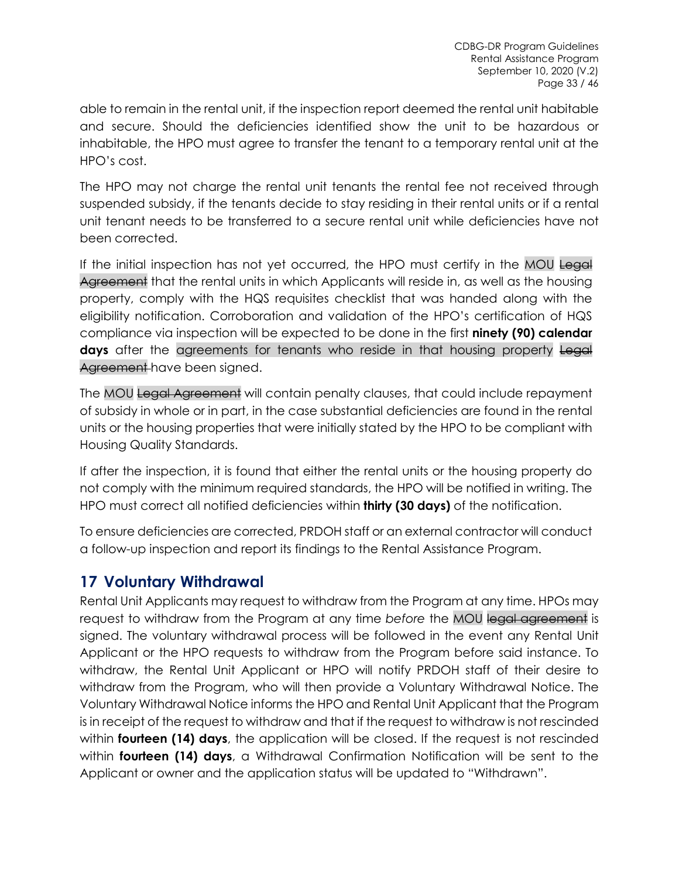able to remain in the rental unit, if the inspection report deemed the rental unit habitable and secure. Should the deficiencies identified show the unit to be hazardous or inhabitable, the HPO must agree to transfer the tenant to a temporary rental unit at the HPO's cost.

The HPO may not charge the rental unit tenants the rental fee not received through suspended subsidy, if the tenants decide to stay residing in their rental units or if a rental unit tenant needs to be transferred to a secure rental unit while deficiencies have not been corrected.

If the initial inspection has not yet occurred, the HPO must certify in the MOU Legal Agreement that the rental units in which Applicants will reside in, as well as the housing property, comply with the HQS requisites checklist that was handed along with the eligibility notification. Corroboration and validation of the HPO's certification of HQS compliance via inspection will be expected to be done in the first **ninety (90) calendar days** after the agreements for tenants who reside in that housing property Legal Agreement have been signed.

The MOU Legal Agreement will contain penalty clauses, that could include repayment of subsidy in whole or in part, in the case substantial deficiencies are found in the rental units or the housing properties that were initially stated by the HPO to be compliant with Housing Quality Standards.

If after the inspection, it is found that either the rental units or the housing property do not comply with the minimum required standards, the HPO will be notified in writing. The HPO must correct all notified deficiencies within **thirty (30 days)** of the notification.

To ensure deficiencies are corrected, PRDOH staff or an external contractor will conduct a follow-up inspection and report its findings to the Rental Assistance Program.

# <span id="page-32-0"></span>**17 Voluntary Withdrawal**

Rental Unit Applicants may request to withdraw from the Program at any time. HPOs may request to withdraw from the Program at any time *before* the MOU legal agreement is signed. The voluntary withdrawal process will be followed in the event any Rental Unit Applicant or the HPO requests to withdraw from the Program before said instance. To withdraw, the Rental Unit Applicant or HPO will notify PRDOH staff of their desire to withdraw from the Program, who will then provide a Voluntary Withdrawal Notice. The Voluntary Withdrawal Notice informs the HPO and Rental Unit Applicant that the Program is in receipt of the request to withdraw and that if the request to withdraw is not rescinded within **fourteen (14) days**, the application will be closed. If the request is not rescinded within **fourteen (14) days**, a Withdrawal Confirmation Notification will be sent to the Applicant or owner and the application status will be updated to "Withdrawn".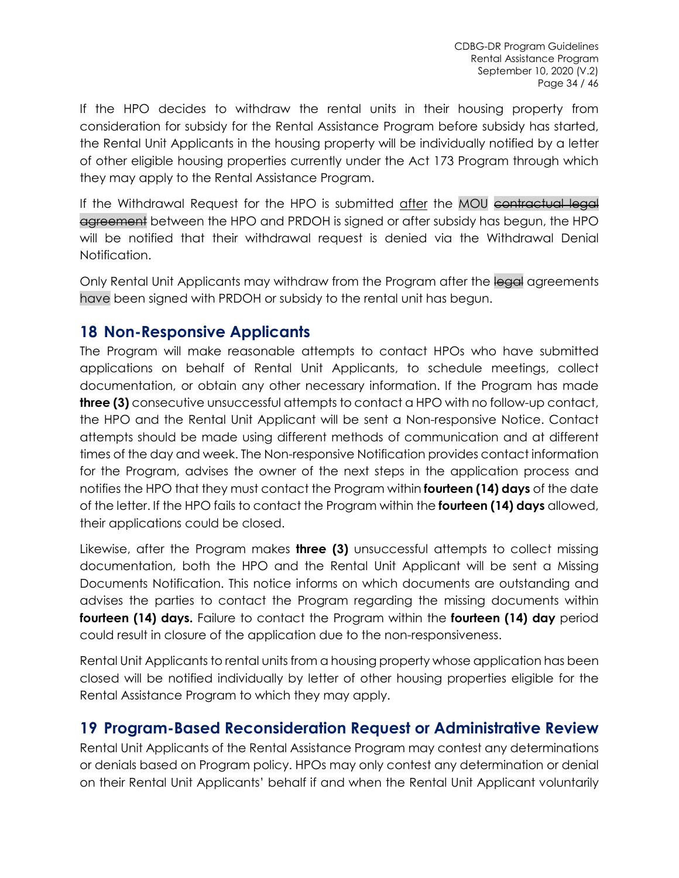If the HPO decides to withdraw the rental units in their housing property from consideration for subsidy for the Rental Assistance Program before subsidy has started, the Rental Unit Applicants in the housing property will be individually notified by a letter of other eligible housing properties currently under the Act 173 Program through which they may apply to the Rental Assistance Program.

If the Withdrawal Request for the HPO is submitted after the MOU contractual legal agreement between the HPO and PRDOH is signed or after subsidy has begun, the HPO will be notified that their withdrawal request is denied via the Withdrawal Denial Notification.

Only Rental Unit Applicants may withdraw from the Program after the legal agreements have been signed with PRDOH or subsidy to the rental unit has begun.

### <span id="page-33-0"></span>**18 Non-Responsive Applicants**

The Program will make reasonable attempts to contact HPOs who have submitted applications on behalf of Rental Unit Applicants, to schedule meetings, collect documentation, or obtain any other necessary information. If the Program has made **three (3)** consecutive unsuccessful attempts to contact a HPO with no follow-up contact, the HPO and the Rental Unit Applicant will be sent a Non-responsive Notice. Contact attempts should be made using different methods of communication and at different times of the day and week. The Non-responsive Notification provides contact information for the Program, advises the owner of the next steps in the application process and notifies the HPO that they must contact the Program within **fourteen (14) days** of the date of the letter. If the HPO fails to contact the Program within the **fourteen (14) days** allowed, their applications could be closed.

Likewise, after the Program makes **three (3)** unsuccessful attempts to collect missing documentation, both the HPO and the Rental Unit Applicant will be sent a Missing Documents Notification. This notice informs on which documents are outstanding and advises the parties to contact the Program regarding the missing documents within **fourteen (14) days.** Failure to contact the Program within the **fourteen (14) day** period could result in closure of the application due to the non-responsiveness.

Rental Unit Applicants to rental units from a housing property whose application has been closed will be notified individually by letter of other housing properties eligible for the Rental Assistance Program to which they may apply.

### <span id="page-33-1"></span>**19 Program-Based Reconsideration Request or Administrative Review**

Rental Unit Applicants of the Rental Assistance Program may contest any determinations or denials based on Program policy. HPOs may only contest any determination or denial on their Rental Unit Applicants' behalf if and when the Rental Unit Applicant voluntarily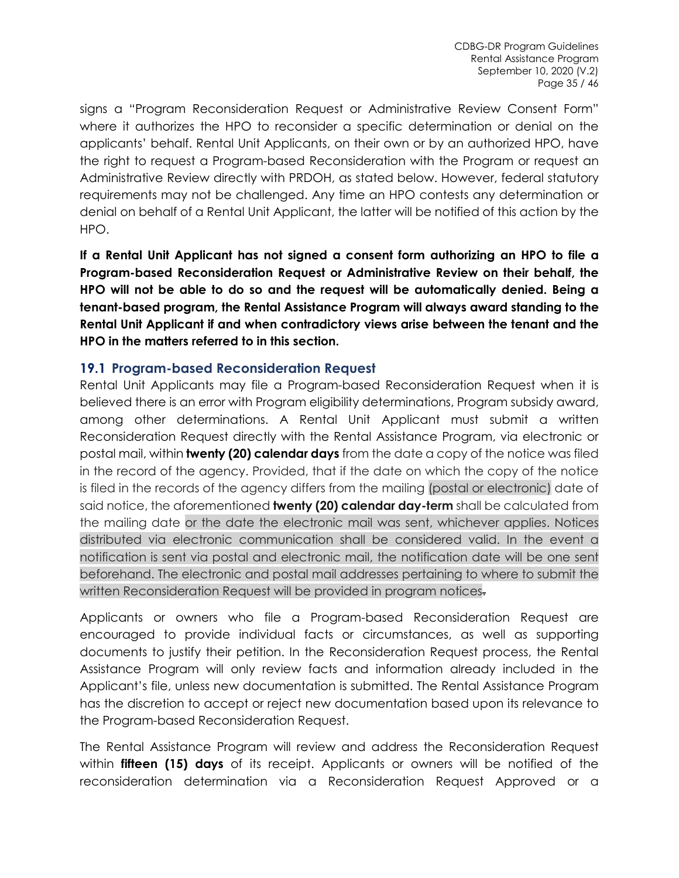signs a "Program Reconsideration Request or Administrative Review Consent Form" where it authorizes the HPO to reconsider a specific determination or denial on the applicants' behalf. Rental Unit Applicants, on their own or by an authorized HPO, have the right to request a Program-based Reconsideration with the Program or request an Administrative Review directly with PRDOH, as stated below. However, federal statutory requirements may not be challenged. Any time an HPO contests any determination or denial on behalf of a Rental Unit Applicant, the latter will be notified of this action by the HPO.

**If a Rental Unit Applicant has not signed a consent form authorizing an HPO to file a Program-based Reconsideration Request or Administrative Review on their behalf, the HPO will not be able to do so and the request will be automatically denied. Being a tenant-based program, the Rental Assistance Program will always award standing to the Rental Unit Applicant if and when contradictory views arise between the tenant and the HPO in the matters referred to in this section.**

#### <span id="page-34-0"></span>**19.1 Program-based Reconsideration Request**

Rental Unit Applicants may file a Program-based Reconsideration Request when it is believed there is an error with Program eligibility determinations, Program subsidy award, among other determinations. A Rental Unit Applicant must submit a written Reconsideration Request directly with the Rental Assistance Program, via electronic or postal mail, within **twenty (20) calendar days** from the date a copy of the notice was filed in the record of the agency. Provided, that if the date on which the copy of the notice is filed in the records of the agency differs from the mailing (postal or electronic) date of said notice, the aforementioned **twenty (20) calendar day-term** shall be calculated from the mailing date or the date the electronic mail was sent, whichever applies. Notices distributed via electronic communication shall be considered valid. In the event a notification is sent via postal and electronic mail, the notification date will be one sent beforehand. The electronic and postal mail addresses pertaining to where to submit the written Reconsideration Request will be provided in program notices.

Applicants or owners who file a Program-based Reconsideration Request are encouraged to provide individual facts or circumstances, as well as supporting documents to justify their petition. In the Reconsideration Request process, the Rental Assistance Program will only review facts and information already included in the Applicant's file, unless new documentation is submitted. The Rental Assistance Program has the discretion to accept or reject new documentation based upon its relevance to the Program-based Reconsideration Request.

The Rental Assistance Program will review and address the Reconsideration Request within **fifteen (15) days** of its receipt. Applicants or owners will be notified of the reconsideration determination via a Reconsideration Request Approved or a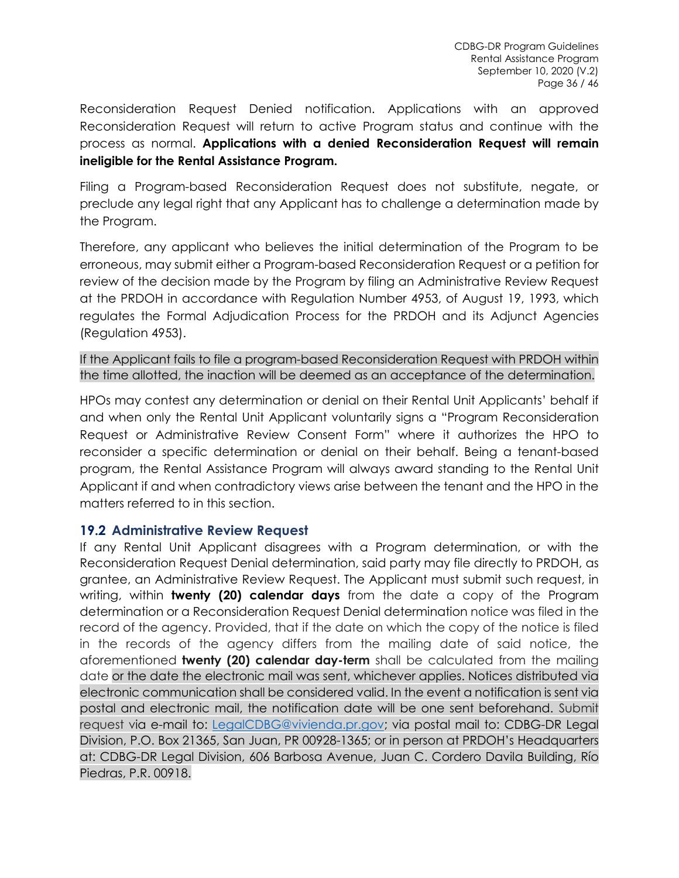Reconsideration Request Denied notification. Applications with an approved Reconsideration Request will return to active Program status and continue with the process as normal. **Applications with a denied Reconsideration Request will remain ineligible for the Rental Assistance Program.**

Filing a Program-based Reconsideration Request does not substitute, negate, or preclude any legal right that any Applicant has to challenge a determination made by the Program.

Therefore, any applicant who believes the initial determination of the Program to be erroneous, may submit either a Program-based Reconsideration Request or a petition for review of the decision made by the Program by filing an Administrative Review Request at the PRDOH in accordance with Regulation Number 4953, of August 19, 1993, which regulates the Formal Adjudication Process for the PRDOH and its Adjunct Agencies (Regulation 4953).

If the Applicant fails to file a program-based Reconsideration Request with PRDOH within the time allotted, the inaction will be deemed as an acceptance of the determination.

HPOs may contest any determination or denial on their Rental Unit Applicants' behalf if and when only the Rental Unit Applicant voluntarily signs a "Program Reconsideration Request or Administrative Review Consent Form" where it authorizes the HPO to reconsider a specific determination or denial on their behalf. Being a tenant-based program, the Rental Assistance Program will always award standing to the Rental Unit Applicant if and when contradictory views arise between the tenant and the HPO in the matters referred to in this section.

#### <span id="page-35-0"></span>**19.2 Administrative Review Request**

If any Rental Unit Applicant disagrees with a Program determination, or with the Reconsideration Request Denial determination, said party may file directly to PRDOH, as grantee, an Administrative Review Request. The Applicant must submit such request, in writing, within **twenty (20) calendar days** from the date a copy of the Program determination or a Reconsideration Request Denial determination notice was filed in the record of the agency. Provided, that if the date on which the copy of the notice is filed in the records of the agency differs from the mailing date of said notice, the aforementioned **twenty (20) calendar day-term** shall be calculated from the mailing date or the date the electronic mail was sent, whichever applies. Notices distributed via electronic communication shall be considered valid. In the event a notification is sent via postal and electronic mail, the notification date will be one sent beforehand. Submit request via e-mail to: [LegalCDBG@vivienda.pr.gov;](mailto:LegalCDBG@vivienda.pr.gov) via postal mail to: CDBG-DR Legal Division, P.O. Box 21365, San Juan, PR 00928-1365; or in person at PRDOH's Headquarters at: CDBG-DR Legal Division, 606 Barbosa Avenue, Juan C. Cordero Davila Building, Río Piedras, P.R. 00918.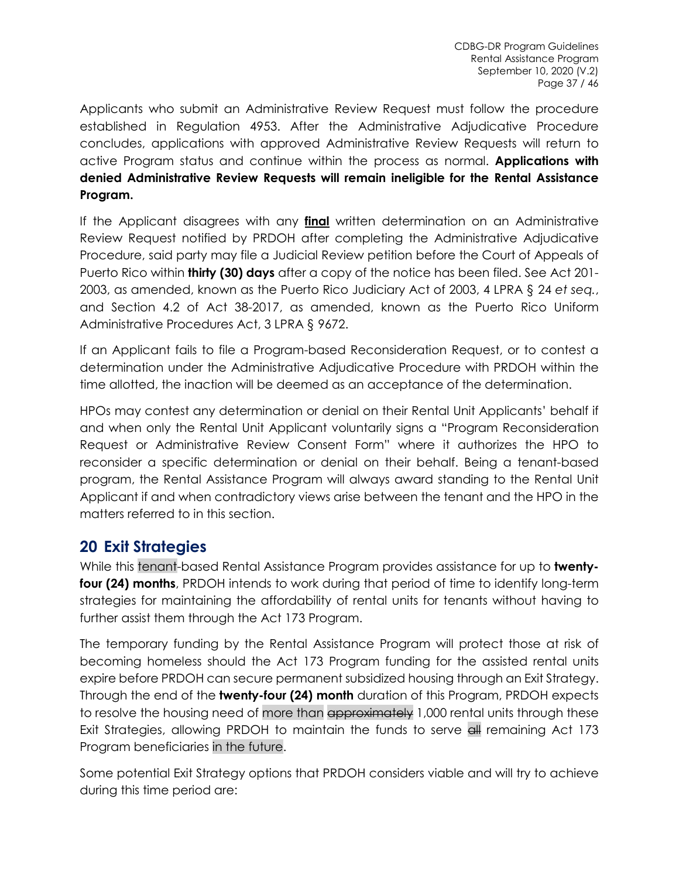Applicants who submit an Administrative Review Request must follow the procedure established in Regulation 4953. After the Administrative Adjudicative Procedure concludes, applications with approved Administrative Review Requests will return to active Program status and continue within the process as normal. **Applications with denied Administrative Review Requests will remain ineligible for the Rental Assistance Program.**

If the Applicant disagrees with any **final** written determination on an Administrative Review Request notified by PRDOH after completing the Administrative Adjudicative Procedure, said party may file a Judicial Review petition before the Court of Appeals of Puerto Rico within **thirty (30) days** after a copy of the notice has been filed. See Act 201- 2003, as amended, known as the Puerto Rico Judiciary Act of 2003, 4 LPRA § 24 *et seq.*, and Section 4.2 of Act 38-2017, as amended, known as the Puerto Rico Uniform Administrative Procedures Act, 3 LPRA § 9672.

If an Applicant fails to file a Program-based Reconsideration Request, or to contest a determination under the Administrative Adjudicative Procedure with PRDOH within the time allotted, the inaction will be deemed as an acceptance of the determination.

HPOs may contest any determination or denial on their Rental Unit Applicants' behalf if and when only the Rental Unit Applicant voluntarily signs a "Program Reconsideration Request or Administrative Review Consent Form" where it authorizes the HPO to reconsider a specific determination or denial on their behalf. Being a tenant-based program, the Rental Assistance Program will always award standing to the Rental Unit Applicant if and when contradictory views arise between the tenant and the HPO in the matters referred to in this section.

### <span id="page-36-0"></span>**20 Exit Strategies**

While this tenant-based Rental Assistance Program provides assistance for up to **twentyfour (24) months**, PRDOH intends to work during that period of time to identify long-term strategies for maintaining the affordability of rental units for tenants without having to further assist them through the Act 173 Program.

The temporary funding by the Rental Assistance Program will protect those at risk of becoming homeless should the Act 173 Program funding for the assisted rental units expire before PRDOH can secure permanent subsidized housing through an Exit Strategy. Through the end of the **twenty-four (24) month** duration of this Program, PRDOH expects to resolve the housing need of more than approximately 1,000 rental units through these Exit Strategies, allowing PRDOH to maintain the funds to serve all remaining Act 173 Program beneficiaries in the future.

Some potential Exit Strategy options that PRDOH considers viable and will try to achieve during this time period are: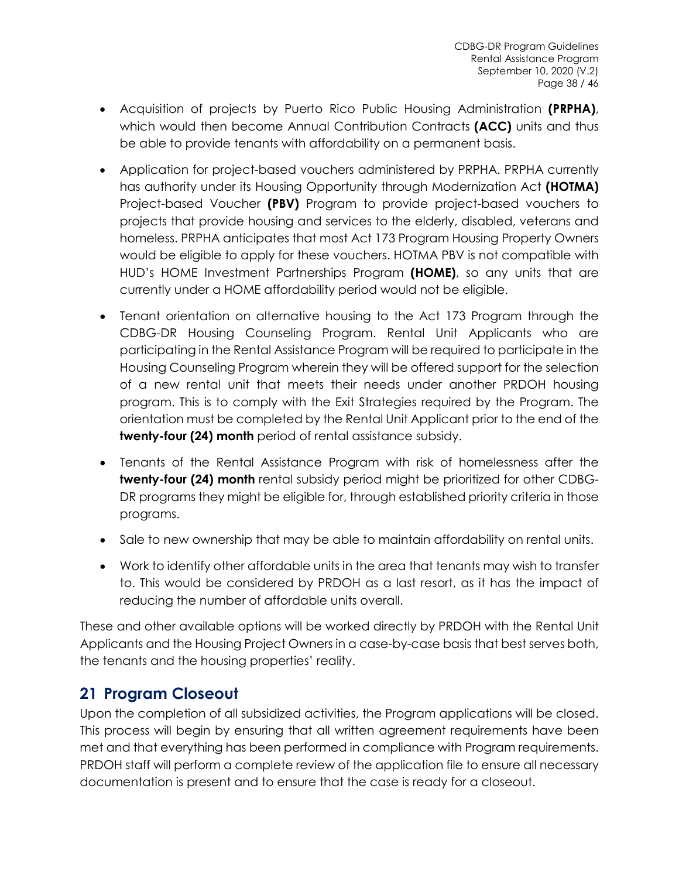- Acquisition of projects by Puerto Rico Public Housing Administration **(PRPHA)**, which would then become Annual Contribution Contracts **(ACC)** units and thus be able to provide tenants with affordability on a permanent basis.
- Application for project-based vouchers administered by PRPHA. PRPHA currently has authority under its Housing Opportunity through Modernization Act **(HOTMA)** Project-based Voucher **(PBV)** Program to provide project-based vouchers to projects that provide housing and services to the elderly, disabled, veterans and homeless. PRPHA anticipates that most Act 173 Program Housing Property Owners would be eligible to apply for these vouchers. HOTMA PBV is not compatible with HUD's HOME Investment Partnerships Program **(HOME)**, so any units that are currently under a HOME affordability period would not be eligible.
- Tenant orientation on alternative housing to the Act 173 Program through the CDBG-DR Housing Counseling Program. Rental Unit Applicants who are participating in the Rental Assistance Program will be required to participate in the Housing Counseling Program wherein they will be offered support for the selection of a new rental unit that meets their needs under another PRDOH housing program. This is to comply with the Exit Strategies required by the Program. The orientation must be completed by the Rental Unit Applicant prior to the end of the **twenty-four (24) month** period of rental assistance subsidy.
- Tenants of the Rental Assistance Program with risk of homelessness after the **twenty-four (24) month** rental subsidy period might be prioritized for other CDBG-DR programs they might be eligible for, through established priority criteria in those programs.
- Sale to new ownership that may be able to maintain affordability on rental units.
- Work to identify other affordable units in the area that tenants may wish to transfer to. This would be considered by PRDOH as a last resort, as it has the impact of reducing the number of affordable units overall.

These and other available options will be worked directly by PRDOH with the Rental Unit Applicants and the Housing Project Owners in a case-by-case basis that best serves both, the tenants and the housing properties' reality.

### <span id="page-37-0"></span>**21 Program Closeout**

Upon the completion of all subsidized activities, the Program applications will be closed. This process will begin by ensuring that all written agreement requirements have been met and that everything has been performed in compliance with Program requirements. PRDOH staff will perform a complete review of the application file to ensure all necessary documentation is present and to ensure that the case is ready for a closeout.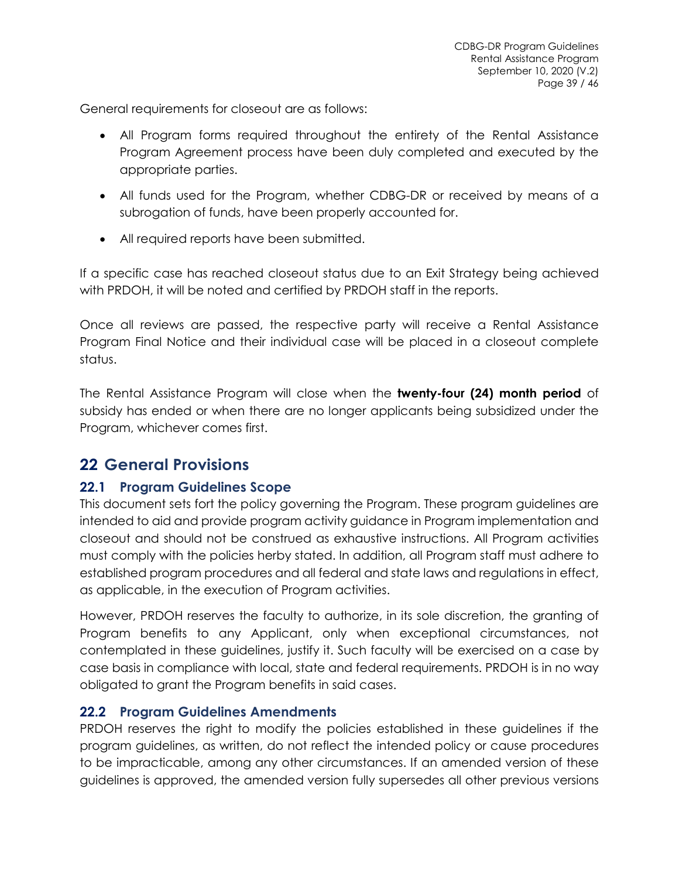General requirements for closeout are as follows:

- All Program forms required throughout the entirety of the Rental Assistance Program Agreement process have been duly completed and executed by the appropriate parties.
- All funds used for the Program, whether CDBG-DR or received by means of a subrogation of funds, have been properly accounted for.
- All required reports have been submitted.

If a specific case has reached closeout status due to an Exit Strategy being achieved with PRDOH, it will be noted and certified by PRDOH staff in the reports.

Once all reviews are passed, the respective party will receive a Rental Assistance Program Final Notice and their individual case will be placed in a closeout complete status.

The Rental Assistance Program will close when the **twenty-four (24) month period** of subsidy has ended or when there are no longer applicants being subsidized under the Program, whichever comes first.

# <span id="page-38-0"></span>**22 General Provisions**

#### <span id="page-38-1"></span>**22.1 Program Guidelines Scope**

This document sets fort the policy governing the Program. These program guidelines are intended to aid and provide program activity guidance in Program implementation and closeout and should not be construed as exhaustive instructions. All Program activities must comply with the policies herby stated. In addition, all Program staff must adhere to established program procedures and all federal and state laws and regulations in effect, as applicable, in the execution of Program activities.

However, PRDOH reserves the faculty to authorize, in its sole discretion, the granting of Program benefits to any Applicant, only when exceptional circumstances, not contemplated in these guidelines, justify it. Such faculty will be exercised on a case by case basis in compliance with local, state and federal requirements. PRDOH is in no way obligated to grant the Program benefits in said cases.

#### <span id="page-38-2"></span>**22.2 Program Guidelines Amendments**

PRDOH reserves the right to modify the policies established in these guidelines if the program guidelines, as written, do not reflect the intended policy or cause procedures to be impracticable, among any other circumstances. If an amended version of these guidelines is approved, the amended version fully supersedes all other previous versions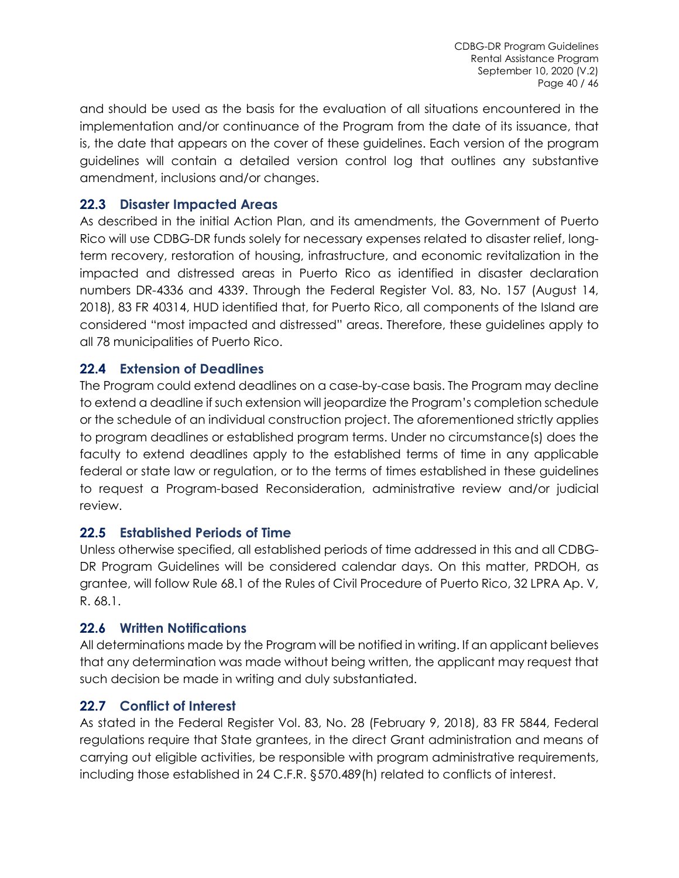and should be used as the basis for the evaluation of all situations encountered in the implementation and/or continuance of the Program from the date of its issuance, that is, the date that appears on the cover of these guidelines. Each version of the program guidelines will contain a detailed version control log that outlines any substantive amendment, inclusions and/or changes.

#### <span id="page-39-0"></span>**22.3 Disaster Impacted Areas**

As described in the initial Action Plan, and its amendments, the Government of Puerto Rico will use CDBG-DR funds solely for necessary expenses related to disaster relief, longterm recovery, restoration of housing, infrastructure, and economic revitalization in the impacted and distressed areas in Puerto Rico as identified in disaster declaration numbers DR-4336 and 4339. Through the Federal Register Vol. 83, No. 157 (August 14, 2018), 83 FR 40314, HUD identified that, for Puerto Rico, all components of the Island are considered "most impacted and distressed" areas. Therefore, these guidelines apply to all 78 municipalities of Puerto Rico.

#### <span id="page-39-1"></span>**22.4 Extension of Deadlines**

The Program could extend deadlines on a case-by-case basis. The Program may decline to extend a deadline if such extension will jeopardize the Program's completion schedule or the schedule of an individual construction project. The aforementioned strictly applies to program deadlines or established program terms. Under no circumstance(s) does the faculty to extend deadlines apply to the established terms of time in any applicable federal or state law or regulation, or to the terms of times established in these guidelines to request a Program-based Reconsideration, administrative review and/or judicial review.

#### <span id="page-39-2"></span>**22.5 Established Periods of Time**

Unless otherwise specified, all established periods of time addressed in this and all CDBG-DR Program Guidelines will be considered calendar days. On this matter, PRDOH, as grantee, will follow Rule 68.1 of the Rules of Civil Procedure of Puerto Rico, 32 LPRA Ap. V, R. 68.1.

#### <span id="page-39-3"></span>**22.6 Written Notifications**

All determinations made by the Program will be notified in writing. If an applicant believes that any determination was made without being written, the applicant may request that such decision be made in writing and duly substantiated.

#### <span id="page-39-4"></span>**22.7 Conflict of Interest**

As stated in the Federal Register Vol. 83, No. 28 (February 9, 2018), 83 FR 5844, Federal regulations require that State grantees, in the direct Grant administration and means of carrying out eligible activities, be responsible with program administrative requirements, including those established in 24 C.F.R. §570.489(h) related to conflicts of interest.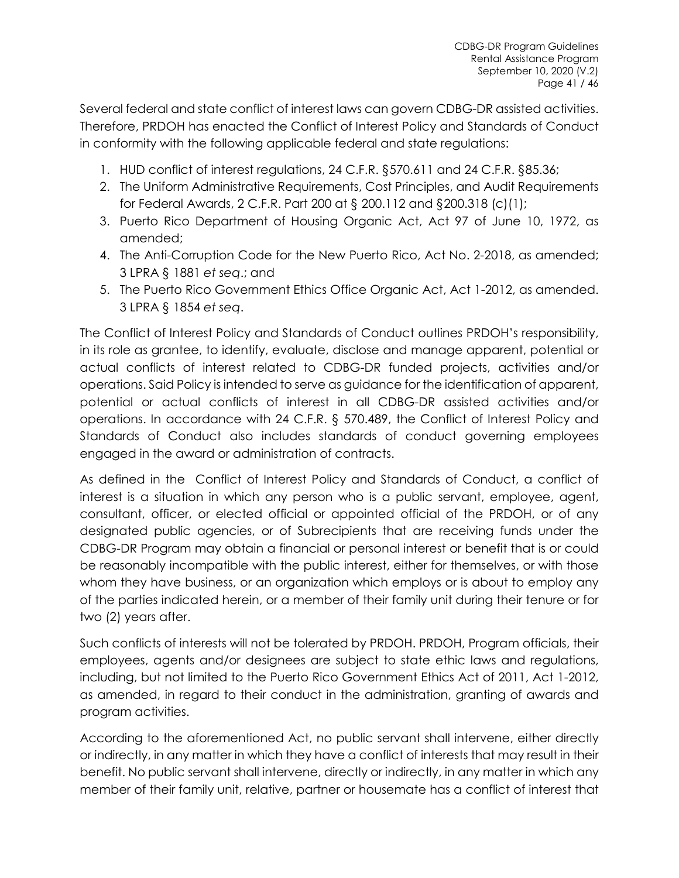Several federal and state conflict of interest laws can govern CDBG-DR assisted activities. Therefore, PRDOH has enacted the Conflict of Interest Policy and Standards of Conduct in conformity with the following applicable federal and state regulations:

- 1. HUD conflict of interest regulations, 24 C.F.R. §570.611 and 24 C.F.R. §85.36;
- 2. The Uniform Administrative Requirements, Cost Principles, and Audit Requirements for Federal Awards, 2 C.F.R. Part 200 at § 200.112 and §200.318 (c)(1);
- 3. Puerto Rico Department of Housing Organic Act, Act 97 of June 10, 1972, as amended;
- 4. The Anti-Corruption Code for the New Puerto Rico, Act No. 2-2018, as amended; 3 LPRA § 1881 *et seq*.; and
- 5. The Puerto Rico Government Ethics Office Organic Act, Act 1-2012, as amended. 3 LPRA § 1854 *et seq*.

The Conflict of Interest Policy and Standards of Conduct outlines PRDOH's responsibility, in its role as grantee, to identify, evaluate, disclose and manage apparent, potential or actual conflicts of interest related to CDBG-DR funded projects, activities and/or operations. Said Policy is intended to serve as guidance for the identification of apparent, potential or actual conflicts of interest in all CDBG-DR assisted activities and/or operations. In accordance with 24 C.F.R. § 570.489, the Conflict of Interest Policy and Standards of Conduct also includes standards of conduct governing employees engaged in the award or administration of contracts.

As defined in the Conflict of Interest Policy and Standards of Conduct, a conflict of interest is a situation in which any person who is a public servant, employee, agent, consultant, officer, or elected official or appointed official of the PRDOH, or of any designated public agencies, or of Subrecipients that are receiving funds under the CDBG-DR Program may obtain a financial or personal interest or benefit that is or could be reasonably incompatible with the public interest, either for themselves, or with those whom they have business, or an organization which employs or is about to employ any of the parties indicated herein, or a member of their family unit during their tenure or for two (2) years after.

Such conflicts of interests will not be tolerated by PRDOH. PRDOH, Program officials, their employees, agents and/or designees are subject to state ethic laws and regulations, including, but not limited to the Puerto Rico Government Ethics Act of 2011, Act 1-2012, as amended, in regard to their conduct in the administration, granting of awards and program activities.

According to the aforementioned Act, no public servant shall intervene, either directly or indirectly, in any matter in which they have a conflict of interests that may result in their benefit. No public servant shall intervene, directly or indirectly, in any matter in which any member of their family unit, relative, partner or housemate has a conflict of interest that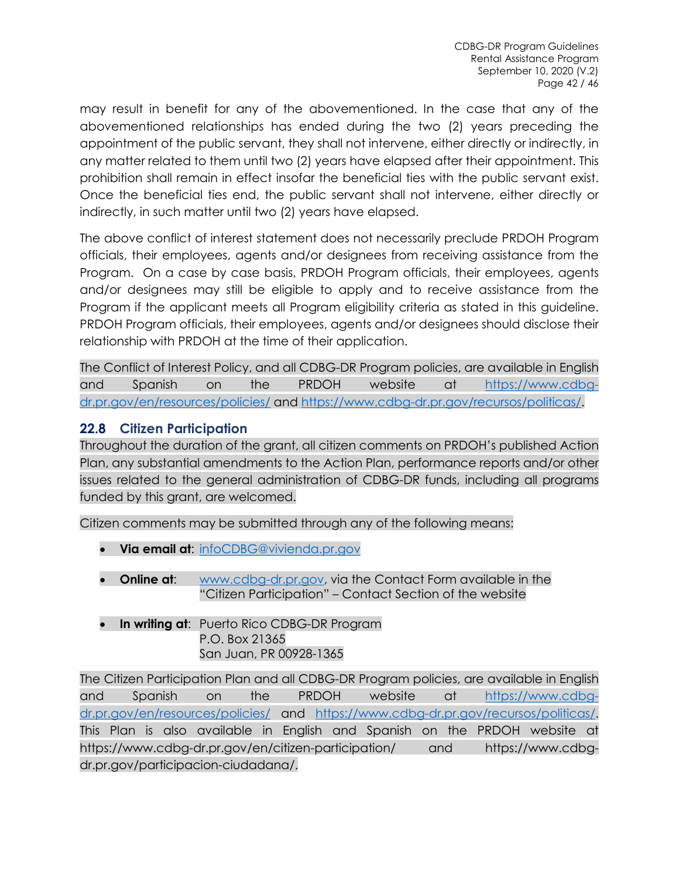may result in benefit for any of the abovementioned. In the case that any of the abovementioned relationships has ended during the two (2) years preceding the appointment of the public servant, they shall not intervene, either directly or indirectly, in any matter related to them until two (2) years have elapsed after their appointment. This prohibition shall remain in effect insofar the beneficial ties with the public servant exist. Once the beneficial ties end, the public servant shall not intervene, either directly or indirectly, in such matter until two (2) years have elapsed.

The above conflict of interest statement does not necessarily preclude PRDOH Program officials, their employees, agents and/or designees from receiving assistance from the Program. On a case by case basis, PRDOH Program officials, their employees, agents and/or designees may still be eligible to apply and to receive assistance from the Program if the applicant meets all Program eligibility criteria as stated in this guideline. PRDOH Program officials, their employees, agents and/or designees should disclose their relationship with PRDOH at the time of their application.

The Conflict of Interest Policy, and all CDBG-DR Program policies, are available in English and Spanish on the PRDOH website at [https://www.cdbg](https://www.cdbg-dr.pr.gov/en/resources/policies/)[dr.pr.gov/en/resources/policies/](https://www.cdbg-dr.pr.gov/en/resources/policies/) and [https://www.cdbg-dr.pr.gov/recursos/politicas/.](https://www.cdbg-dr.pr.gov/recursos/politicas/)

#### <span id="page-41-0"></span>**22.8 Citizen Participation**

Throughout the duration of the grant, all citizen comments on PRDOH's published Action Plan, any substantial amendments to the Action Plan, performance reports and/or other issues related to the general administration of CDBG-DR funds, including all programs funded by this grant, are welcomed.

Citizen comments may be submitted through any of the following means:

- **Via email at**: [infoCDBG@vivienda.pr.gov](mailto:infoCDBG@vivienda.pr.gov)
- **Online at:** [www.cdbg-dr.pr.gov,](http://www.cdbg-dr.pr.gov/) via the Contact Form available in the "Citizen Participation" – Contact Section of the website
- **In writing at**: Puerto Rico CDBG-DR Program P.O. Box 21365 San Juan, PR 00928-1365

The Citizen Participation Plan and all CDBG-DR Program policies, are available in English and Spanish on the PRDOH website at [https://www.cdbg](https://www.cdbg-dr.pr.gov/en/resources/policies/)[dr.pr.gov/en/resources/policies/](https://www.cdbg-dr.pr.gov/en/resources/policies/) and [https://www.cdbg-dr.pr.gov/recursos/politicas/.](https://www.cdbg-dr.pr.gov/recursos/politicas/) This Plan is also available in English and Spanish on the PRDOH website at https://www.cdbg-dr.pr.gov/en/citizen-participation/ and https://www.cdbgdr.pr.gov/participacion-ciudadana/.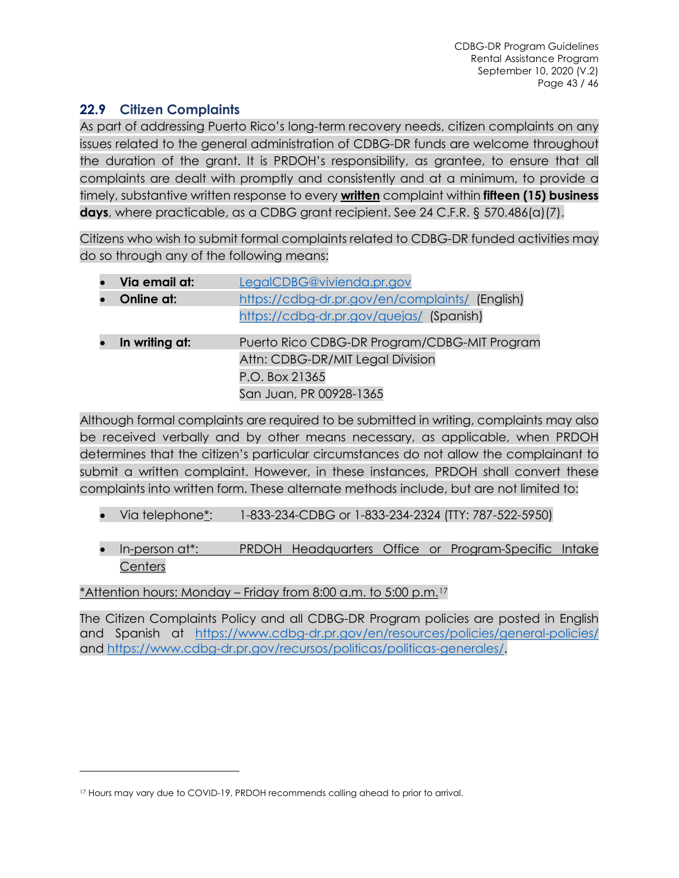#### <span id="page-42-0"></span>**22.9 Citizen Complaints**

As part of addressing Puerto Rico's long-term recovery needs, citizen complaints on any issues related to the general administration of CDBG-DR funds are welcome throughout the duration of the grant. It is PRDOH's responsibility, as grantee, to ensure that all complaints are dealt with promptly and consistently and at a minimum, to provide a timely, substantive written response to every **written** complaint within **fifteen (15) business days**, where practicable, as a CDBG grant recipient. See 24 C.F.R. § 570.486(a)(7).

Citizens who wish to submit formal complaints related to CDBG-DR funded activities may do so through any of the following means:

| $\bullet$ | Via email at:  | LegalCDBG@vivienda.pr.gov                       |
|-----------|----------------|-------------------------------------------------|
|           | Online at:     | https://cdbg-dr.pr.gov/en/complaints/ (English) |
|           |                | https://cdbg-dr.pr.gov/quejas/ (Spanish)        |
| $\bullet$ | In writing at: | Puerto Rico CDBG-DR Program/CDBG-MIT Program    |
|           |                | Attn: CDBG-DR/MIT Legal Division                |
|           |                | P.O. Box 21365                                  |
|           |                | San Juan, PR 00928-1365                         |

Although formal complaints are required to be submitted in writing, complaints may also be received verbally and by other means necessary, as applicable, when PRDOH determines that the citizen's particular circumstances do not allow the complainant to submit a written complaint. However, in these instances, PRDOH shall convert these complaints into written form. These alternate methods include, but are not limited to:

- Via telephone\*: 1-833-234-CDBG or 1-833-234-2324 (TTY: 787-522-5950)
- In-person at\*: PRDOH Headquarters Office or Program-Specific Intake **Centers**

#### \*Attention hours: Monday – Friday from 8:00 a.m. to 5:00 p.m.[17](#page-42-1)

The Citizen Complaints Policy and all CDBG-DR Program policies are posted in English and Spanish at <https://www.cdbg-dr.pr.gov/en/resources/policies/general-policies/> and [https://www.cdbg-dr.pr.gov/recursos/politicas/politicas-generales/.](https://www.cdbg-dr.pr.gov/recursos/politicas/politicas-generales/)

<span id="page-42-1"></span><sup>&</sup>lt;sup>17</sup> Hours may vary due to COVID-19. PRDOH recommends calling ahead to prior to arrival.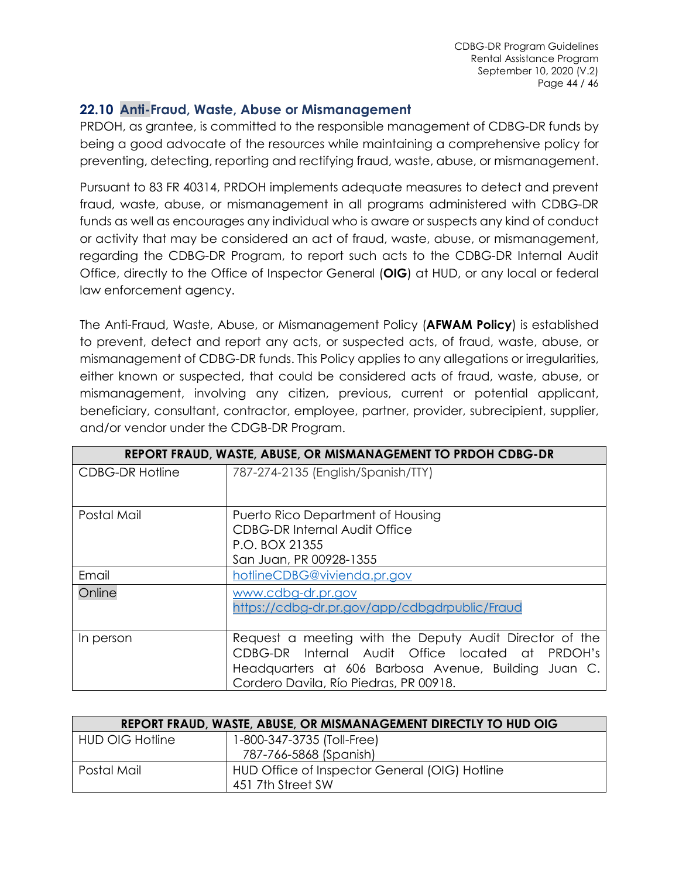#### <span id="page-43-0"></span>**22.10 Anti-Fraud, Waste, Abuse or Mismanagement**

PRDOH, as grantee, is committed to the responsible management of CDBG-DR funds by being a good advocate of the resources while maintaining a comprehensive policy for preventing, detecting, reporting and rectifying fraud, waste, abuse, or mismanagement.

Pursuant to 83 FR 40314, PRDOH implements adequate measures to detect and prevent fraud, waste, abuse, or mismanagement in all programs administered with CDBG-DR funds as well as encourages any individual who is aware or suspects any kind of conduct or activity that may be considered an act of fraud, waste, abuse, or mismanagement, regarding the CDBG-DR Program, to report such acts to the CDBG-DR Internal Audit Office, directly to the Office of Inspector General (**OIG**) at HUD, or any local or federal law enforcement agency.

The Anti-Fraud, Waste, Abuse, or Mismanagement Policy (**AFWAM Policy**) is established to prevent, detect and report any acts, or suspected acts, of fraud, waste, abuse, or mismanagement of CDBG-DR funds. This Policy applies to any allegations or irregularities, either known or suspected, that could be considered acts of fraud, waste, abuse, or mismanagement, involving any citizen, previous, current or potential applicant, beneficiary, consultant, contractor, employee, partner, provider, subrecipient, supplier, and/or vendor under the CDGB-DR Program.

| REPORT FRAUD, WASTE, ABUSE, OR MISMANAGEMENT TO PRDOH CDBG-DR |                                                                                                                                                                                                                   |  |
|---------------------------------------------------------------|-------------------------------------------------------------------------------------------------------------------------------------------------------------------------------------------------------------------|--|
| <b>CDBG-DR Hotline</b>                                        | 787-274-2135 (English/Spanish/TTY)                                                                                                                                                                                |  |
| Postal Mail                                                   | Puerto Rico Department of Housing<br><b>CDBG-DR Internal Audit Office</b><br>P.O. BOX 21355<br>San Juan, PR 00928-1355                                                                                            |  |
| Email                                                         | hotlineCDBG@vivienda.pr.gov                                                                                                                                                                                       |  |
| Online                                                        | www.cdbg-dr.pr.gov<br>https://cdbg-dr.pr.gov/app/cdbgdrpublic/Fraud                                                                                                                                               |  |
| In person                                                     | Request a meeting with the Deputy Audit Director of the<br>Internal Audit Office located at PRDOH's<br>CDBG-DR-<br>Headquarters at 606 Barbosa Avenue, Building Juan C.<br>Cordero Davila, Río Piedras, PR 00918. |  |

|                        | REPORT FRAUD, WASTE, ABUSE, OR MISMANAGEMENT DIRECTLY TO HUD OIG |
|------------------------|------------------------------------------------------------------|
| <b>HUD OIG Hotline</b> | 1-800-347-3735 (Toll-Free)                                       |
|                        | 787-766-5868 (Spanish)                                           |
| Postal Mail            | HUD Office of Inspector General (OIG) Hotline                    |
|                        | 451 7th Street SW                                                |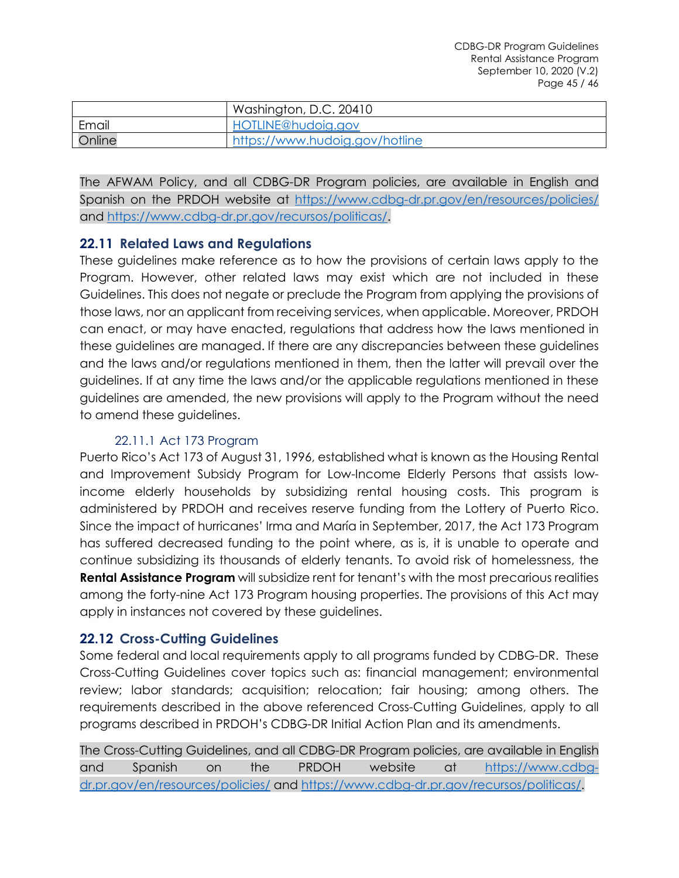|        | Washington, D.C. 20410         |
|--------|--------------------------------|
| Email  | HOTLINE@hudoig.gov             |
| Online | https://www.hudoig.gov/hotline |

The AFWAM Policy, and all CDBG-DR Program policies, are available in English and Spanish on the PRDOH website at <https://www.cdbg-dr.pr.gov/en/resources/policies/> and [https://www.cdbg-dr.pr.gov/recursos/politicas/.](https://www.cdbg-dr.pr.gov/recursos/politicas/)

#### <span id="page-44-0"></span>**22.11 Related Laws and Regulations**

These guidelines make reference as to how the provisions of certain laws apply to the Program. However, other related laws may exist which are not included in these Guidelines. This does not negate or preclude the Program from applying the provisions of those laws, nor an applicant from receiving services, when applicable. Moreover, PRDOH can enact, or may have enacted, regulations that address how the laws mentioned in these guidelines are managed. If there are any discrepancies between these guidelines and the laws and/or regulations mentioned in them, then the latter will prevail over the guidelines. If at any time the laws and/or the applicable regulations mentioned in these guidelines are amended, the new provisions will apply to the Program without the need to amend these guidelines.

#### 22.11.1 Act 173 Program

<span id="page-44-1"></span>Puerto Rico's Act 173 of August 31, 1996, established what is known as the Housing Rental and Improvement Subsidy Program for Low-Income Elderly Persons that assists lowincome elderly households by subsidizing rental housing costs. This program is administered by PRDOH and receives reserve funding from the Lottery of Puerto Rico. Since the impact of hurricanes' Irma and María in September, 2017, the Act 173 Program has suffered decreased funding to the point where, as is, it is unable to operate and continue subsidizing its thousands of elderly tenants. To avoid risk of homelessness, the **Rental Assistance Program** will subsidize rent for tenant's with the most precarious realities among the forty-nine Act 173 Program housing properties. The provisions of this Act may apply in instances not covered by these guidelines.

#### <span id="page-44-2"></span>**22.12 Cross-Cutting Guidelines**

Some federal and local requirements apply to all programs funded by CDBG-DR. These Cross-Cutting Guidelines cover topics such as: financial management; environmental review; labor standards; acquisition; relocation; fair housing; among others. The requirements described in the above referenced Cross-Cutting Guidelines, apply to all programs described in PRDOH's CDBG-DR Initial Action Plan and its amendments.

The Cross-Cutting Guidelines, and all CDBG-DR Program policies, are available in English and Spanish on the PRDOH website at [https://www.cdbg](https://www.cdbg-dr.pr.gov/en/resources/policies/)[dr.pr.gov/en/resources/policies/](https://www.cdbg-dr.pr.gov/en/resources/policies/) and [https://www.cdbg-dr.pr.gov/recursos/politicas/.](https://www.cdbg-dr.pr.gov/recursos/politicas/)